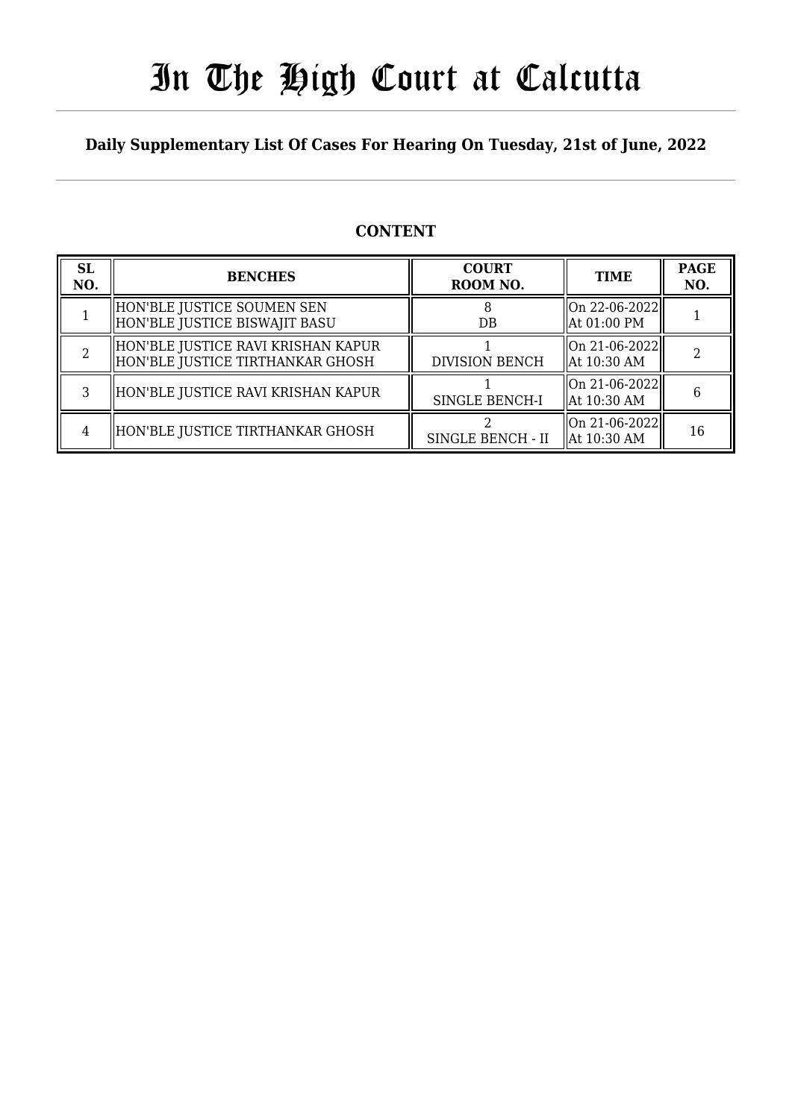# In The High Court at Calcutta

#### **Daily Supplementary List Of Cases For Hearing On Tuesday, 21st of June, 2022**

#### **CONTENT**

| <b>SL</b><br>NO. | <b>BENCHES</b>                                                         | <b>COURT</b><br>ROOM NO. | <b>TIME</b>                            | <b>PAGE</b><br>NO. |
|------------------|------------------------------------------------------------------------|--------------------------|----------------------------------------|--------------------|
|                  | HON'BLE JUSTICE SOUMEN SEN<br>HON'BLE JUSTICE BISWAJIT BASU            | $DB$                     | On 22-06-2022  <br>  At 01:00 PM       |                    |
|                  | HON'BLE JUSTICE RAVI KRISHAN KAPUR<br>HON'BLE JUSTICE TIRTHANKAR GHOSH | <b>DIVISION BENCH</b>    | On 21-06-2022  <br>  At 10:30 AM       |                    |
|                  | HON'BLE JUSTICE RAVI KRISHAN KAPUR                                     | SINGLE BENCH-I           | $\log 21 - 06 - 2022$<br>  At 10:30 AM | 6                  |
| 4                | HON'BLE JUSTICE TIRTHANKAR GHOSH                                       | SINGLE BENCH - II        | On 21-06-2022  <br>  At 10:30 AM       | 16                 |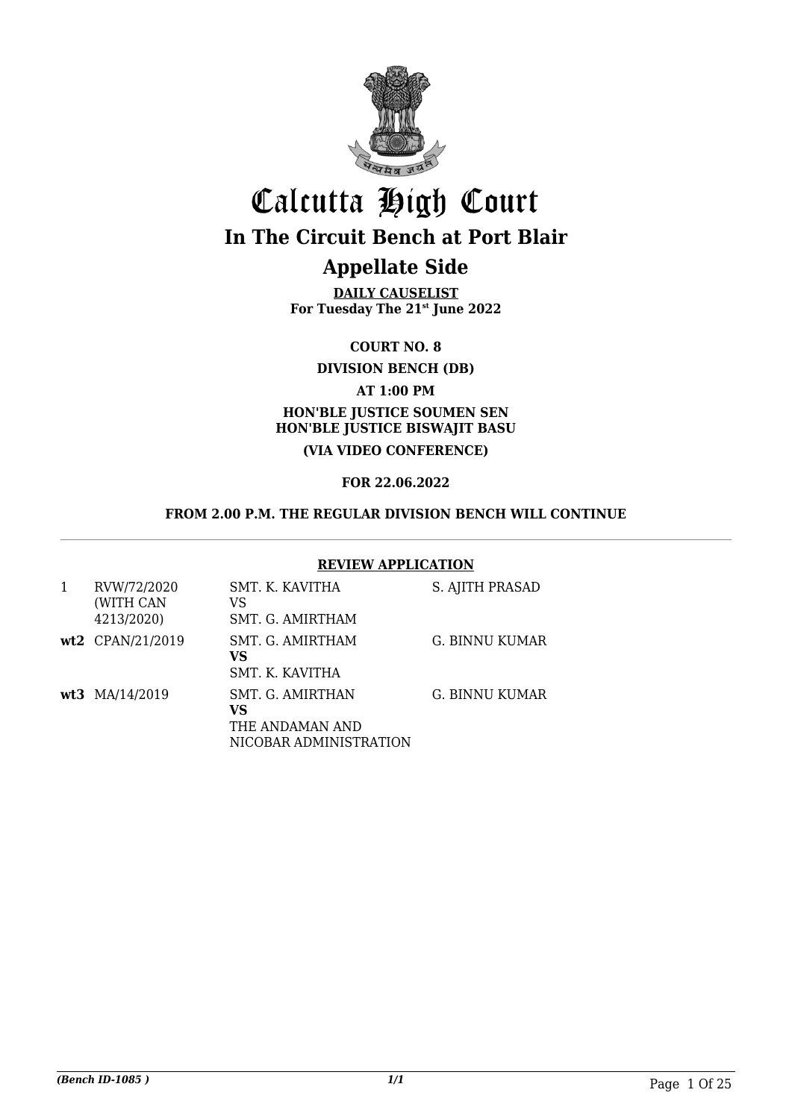

## Calcutta High Court **In The Circuit Bench at Port Blair**

### **Appellate Side**

**DAILY CAUSELIST For Tuesday The 21st June 2022**

**COURT NO. 8**

**DIVISION BENCH (DB)**

#### **AT 1:00 PM**

#### **HON'BLE JUSTICE SOUMEN SEN HON'BLE JUSTICE BISWAJIT BASU (VIA VIDEO CONFERENCE)**

#### **FOR 22.06.2022**

#### **FROM 2.00 P.M. THE REGULAR DIVISION BENCH WILL CONTINUE**

#### **REVIEW APPLICATION**

| RVW/72/2020<br>(WITH CAN<br>4213/2020) | SMT. K. KAVITHA<br>VS<br>SMT. G. AMIRTHAM                           | S. AJITH PRASAD |
|----------------------------------------|---------------------------------------------------------------------|-----------------|
| wt2 CPAN/21/2019                       | SMT. G. AMIRTHAM<br>VS<br>SMT. K. KAVITHA                           | G. BINNU KUMAR  |
| wt3 MA/14/2019                         | SMT. G. AMIRTHAN<br>VS<br>THE ANDAMAN AND<br>NICOBAR ADMINISTRATION | G. BINNU KUMAR  |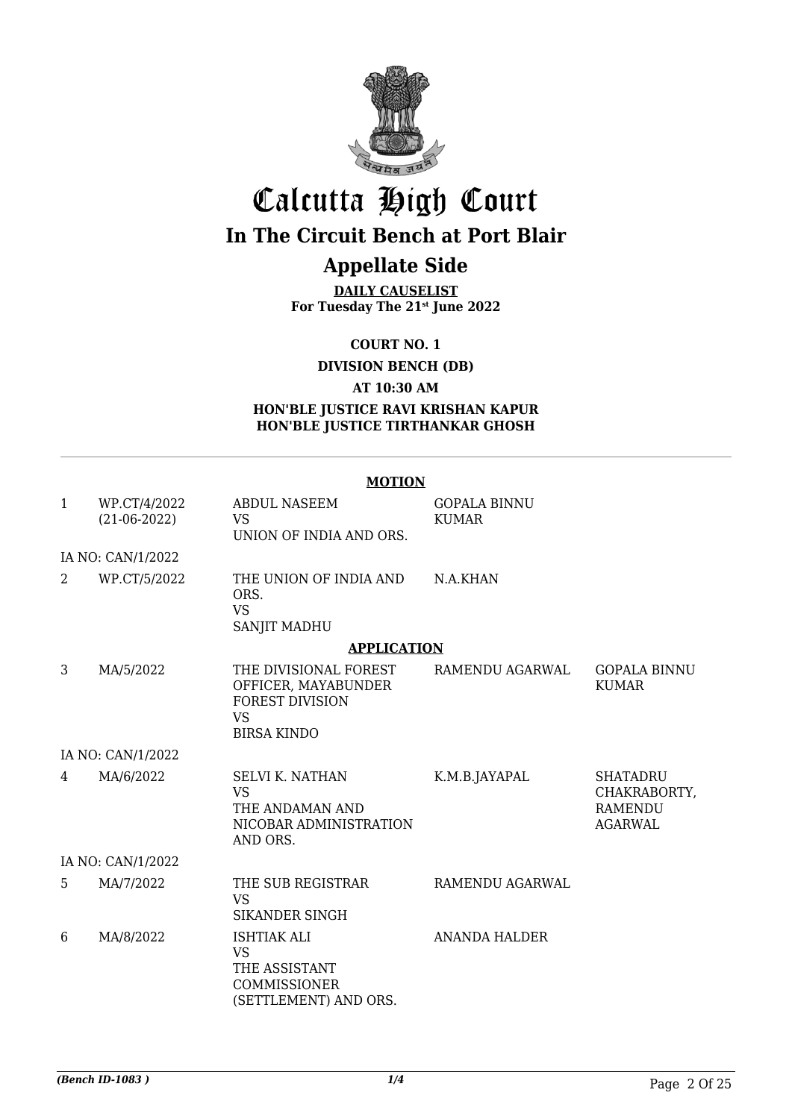

## Calcutta High Court **In The Circuit Bench at Port Blair**

## **Appellate Side**

**DAILY CAUSELIST For Tuesday The 21st June 2022**

**COURT NO. 1**

**DIVISION BENCH (DB)**

**AT 10:30 AM**

**HON'BLE JUSTICE RAVI KRISHAN KAPUR HON'BLE JUSTICE TIRTHANKAR GHOSH**

#### **MOTION**

| $\mathbf{1}$ | WP.CT/4/2022<br>$(21-06-2022)$ | <b>ABDUL NASEEM</b><br>VS.<br>UNION OF INDIA AND ORS.                                                     | <b>GOPALA BINNU</b><br><b>KUMAR</b> |                                                                     |
|--------------|--------------------------------|-----------------------------------------------------------------------------------------------------------|-------------------------------------|---------------------------------------------------------------------|
|              | IA NO: CAN/1/2022              |                                                                                                           |                                     |                                                                     |
| 2            | WP.CT/5/2022                   | THE UNION OF INDIA AND<br>ORS.<br><b>VS</b><br><b>SANJIT MADHU</b>                                        | N.A.KHAN                            |                                                                     |
|              |                                | <b>APPLICATION</b>                                                                                        |                                     |                                                                     |
| 3            | MA/5/2022                      | THE DIVISIONAL FOREST<br>OFFICER, MAYABUNDER<br><b>FOREST DIVISION</b><br><b>VS</b><br><b>BIRSA KINDO</b> | RAMENDU AGARWAL                     | <b>GOPALA BINNU</b><br><b>KUMAR</b>                                 |
|              | IA NO: CAN/1/2022              |                                                                                                           |                                     |                                                                     |
| 4            | MA/6/2022                      | <b>SELVI K. NATHAN</b><br><b>VS</b><br>THE ANDAMAN AND<br>NICOBAR ADMINISTRATION<br>AND ORS.              | K.M.B.JAYAPAL                       | <b>SHATADRU</b><br>CHAKRABORTY,<br><b>RAMENDU</b><br><b>AGARWAL</b> |
|              | IA NO: CAN/1/2022              |                                                                                                           |                                     |                                                                     |
| 5            | MA/7/2022                      | THE SUB REGISTRAR<br><b>VS</b><br><b>SIKANDER SINGH</b>                                                   | RAMENDU AGARWAL                     |                                                                     |
| 6            | MA/8/2022                      | <b>ISHTIAK ALI</b><br><b>VS</b><br>THE ASSISTANT<br>COMMISSIONER<br>(SETTLEMENT) AND ORS.                 | <b>ANANDA HALDER</b>                |                                                                     |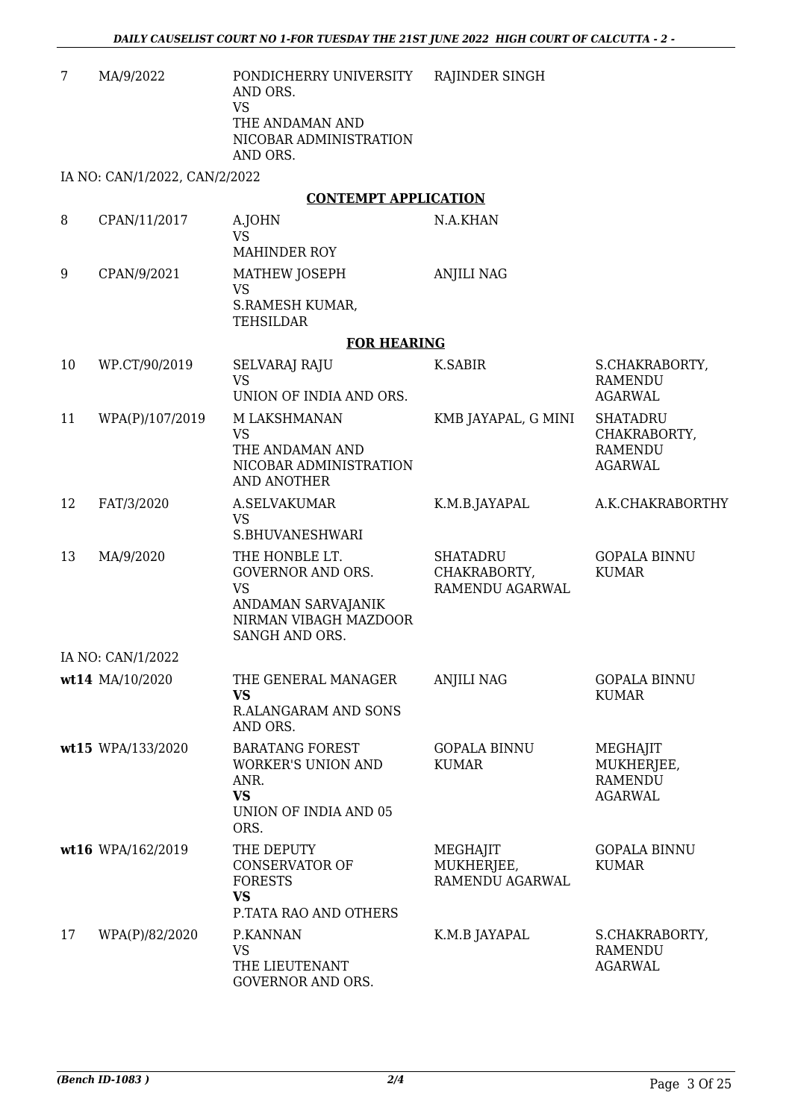| 7  | MA/9/2022                     | PONDICHERRY UNIVERSITY<br>AND ORS.<br><b>VS</b><br>THE ANDAMAN AND<br>NICOBAR ADMINISTRATION<br>AND ORS.          | RAJINDER SINGH                                     |                                                                     |
|----|-------------------------------|-------------------------------------------------------------------------------------------------------------------|----------------------------------------------------|---------------------------------------------------------------------|
|    | IA NO: CAN/1/2022, CAN/2/2022 |                                                                                                                   |                                                    |                                                                     |
|    |                               | <b>CONTEMPT APPLICATION</b>                                                                                       |                                                    |                                                                     |
| 8  | CPAN/11/2017                  | A.JOHN<br><b>VS</b><br>MAHINDER ROY                                                                               | N.A.KHAN                                           |                                                                     |
| 9  | CPAN/9/2021                   | MATHEW JOSEPH<br><b>VS</b><br>S.RAMESH KUMAR,<br><b>TEHSILDAR</b>                                                 | <b>ANJILI NAG</b>                                  |                                                                     |
|    |                               | <b>FOR HEARING</b>                                                                                                |                                                    |                                                                     |
| 10 | WP.CT/90/2019                 | SELVARAJ RAJU<br><b>VS</b><br>UNION OF INDIA AND ORS.                                                             | K.SABIR                                            | S.CHAKRABORTY,<br><b>RAMENDU</b><br><b>AGARWAL</b>                  |
| 11 | WPA(P)/107/2019               | M LAKSHMANAN<br><b>VS</b><br>THE ANDAMAN AND<br>NICOBAR ADMINISTRATION<br>AND ANOTHER                             | KMB JAYAPAL, G MINI                                | <b>SHATADRU</b><br>CHAKRABORTY,<br><b>RAMENDU</b><br><b>AGARWAL</b> |
| 12 | FAT/3/2020                    | A.SELVAKUMAR<br><b>VS</b><br>S.BHUVANESHWARI                                                                      | K.M.B.JAYAPAL                                      | A.K.CHAKRABORTHY                                                    |
| 13 | MA/9/2020                     | THE HONBLE LT.<br>GOVERNOR AND ORS.<br><b>VS</b><br>ANDAMAN SARVAJANIK<br>NIRMAN VIBAGH MAZDOOR<br>SANGH AND ORS. | <b>SHATADRU</b><br>CHAKRABORTY,<br>RAMENDU AGARWAL | <b>GOPALA BINNU</b><br><b>KUMAR</b>                                 |
|    | IA NO: CAN/1/2022             |                                                                                                                   |                                                    |                                                                     |
|    | wt14 MA/10/2020               | THE GENERAL MANAGER<br><b>VS</b><br><b>R.ALANGARAM AND SONS</b><br>AND ORS.                                       | <b>ANJILI NAG</b>                                  | <b>GOPALA BINNU</b><br><b>KUMAR</b>                                 |
|    | wt15 WPA/133/2020             | <b>BARATANG FOREST</b><br><b>WORKER'S UNION AND</b><br>ANR.<br><b>VS</b><br>UNION OF INDIA AND 05<br>ORS.         | <b>GOPALA BINNU</b><br><b>KUMAR</b>                | MEGHAJIT<br>MUKHERJEE,<br><b>RAMENDU</b><br><b>AGARWAL</b>          |
|    | wt16 WPA/162/2019             | THE DEPUTY<br><b>CONSERVATOR OF</b><br><b>FORESTS</b><br><b>VS</b><br>P.TATA RAO AND OTHERS                       | MEGHAJIT<br>MUKHERJEE,<br>RAMENDU AGARWAL          | <b>GOPALA BINNU</b><br><b>KUMAR</b>                                 |
| 17 | WPA(P)/82/2020                | P.KANNAN<br><b>VS</b><br>THE LIEUTENANT<br>GOVERNOR AND ORS.                                                      | K.M.B JAYAPAL                                      | S.CHAKRABORTY,<br>RAMENDU<br><b>AGARWAL</b>                         |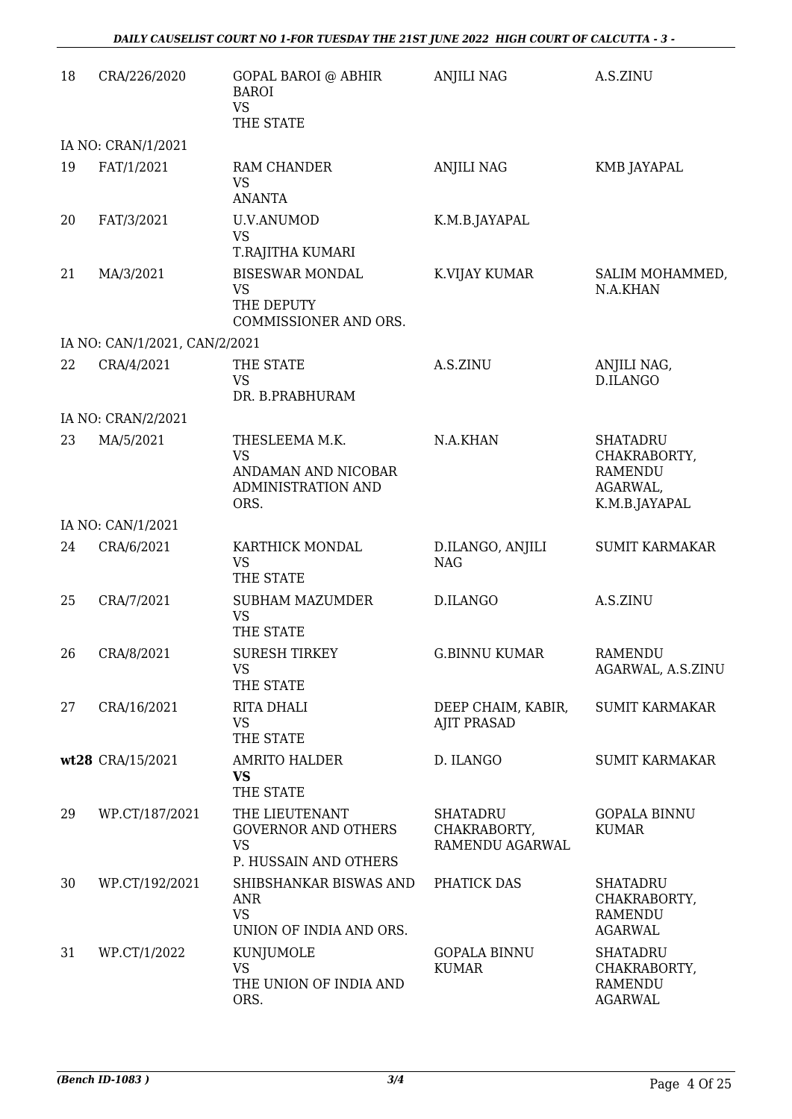| 18 | CRA/226/2020                  | <b>GOPAL BAROI @ ABHIR</b><br><b>BAROI</b><br><b>VS</b><br>THE STATE               | <b>ANJILI NAG</b>                                  | A.S.ZINU                                                                       |
|----|-------------------------------|------------------------------------------------------------------------------------|----------------------------------------------------|--------------------------------------------------------------------------------|
|    | IA NO: CRAN/1/2021            |                                                                                    |                                                    |                                                                                |
| 19 | FAT/1/2021                    | RAM CHANDER<br><b>VS</b><br><b>ANANTA</b>                                          | <b>ANJILI NAG</b>                                  | KMB JAYAPAL                                                                    |
| 20 | FAT/3/2021                    | <b>U.V.ANUMOD</b><br><b>VS</b><br>T.RAJITHA KUMARI                                 | K.M.B.JAYAPAL                                      |                                                                                |
| 21 | MA/3/2021                     | <b>BISESWAR MONDAL</b><br><b>VS</b><br>THE DEPUTY<br>COMMISSIONER AND ORS.         | K.VIJAY KUMAR                                      | SALIM MOHAMMED,<br>N.A.KHAN                                                    |
|    | IA NO: CAN/1/2021, CAN/2/2021 |                                                                                    |                                                    |                                                                                |
| 22 | CRA/4/2021                    | THE STATE<br><b>VS</b><br>DR. B.PRABHURAM                                          | A.S.ZINU                                           | ANJILI NAG,<br>D.ILANGO                                                        |
|    | IA NO: CRAN/2/2021            |                                                                                    |                                                    |                                                                                |
| 23 | MA/5/2021                     | THESLEEMA M.K.<br><b>VS</b><br>ANDAMAN AND NICOBAR<br>ADMINISTRATION AND<br>ORS.   | N.A.KHAN                                           | <b>SHATADRU</b><br>CHAKRABORTY,<br><b>RAMENDU</b><br>AGARWAL,<br>K.M.B.JAYAPAL |
|    | IA NO: CAN/1/2021             |                                                                                    |                                                    |                                                                                |
| 24 | CRA/6/2021                    | KARTHICK MONDAL<br><b>VS</b><br>THE STATE                                          | D.ILANGO, ANJILI<br><b>NAG</b>                     | <b>SUMIT KARMAKAR</b>                                                          |
| 25 | CRA/7/2021                    | <b>SUBHAM MAZUMDER</b><br><b>VS</b><br>THE STATE                                   | <b>D.ILANGO</b>                                    | A.S.ZINU                                                                       |
| 26 | CRA/8/2021                    | <b>SURESH TIRKEY</b><br>VS<br>THE STATE                                            | <b>G.BINNU KUMAR</b>                               | RAMENDU<br>AGARWAL, A.S.ZINU                                                   |
| 27 | CRA/16/2021                   | RITA DHALI<br><b>VS</b><br>THE STATE                                               | DEEP CHAIM, KABIR,<br><b>AJIT PRASAD</b>           | <b>SUMIT KARMAKAR</b>                                                          |
|    | wt28 CRA/15/2021              | <b>AMRITO HALDER</b><br><b>VS</b><br>THE STATE                                     | D. ILANGO                                          | <b>SUMIT KARMAKAR</b>                                                          |
| 29 | WP.CT/187/2021                | THE LIEUTENANT<br><b>GOVERNOR AND OTHERS</b><br><b>VS</b><br>P. HUSSAIN AND OTHERS | <b>SHATADRU</b><br>CHAKRABORTY,<br>RAMENDU AGARWAL | <b>GOPALA BINNU</b><br><b>KUMAR</b>                                            |
| 30 | WP.CT/192/2021                | SHIBSHANKAR BISWAS AND<br><b>ANR</b><br><b>VS</b><br>UNION OF INDIA AND ORS.       | PHATICK DAS                                        | <b>SHATADRU</b><br>CHAKRABORTY,<br><b>RAMENDU</b><br><b>AGARWAL</b>            |
| 31 | WP.CT/1/2022                  | KUNJUMOLE<br><b>VS</b><br>THE UNION OF INDIA AND<br>ORS.                           | <b>GOPALA BINNU</b><br><b>KUMAR</b>                | <b>SHATADRU</b><br>CHAKRABORTY,<br><b>RAMENDU</b><br><b>AGARWAL</b>            |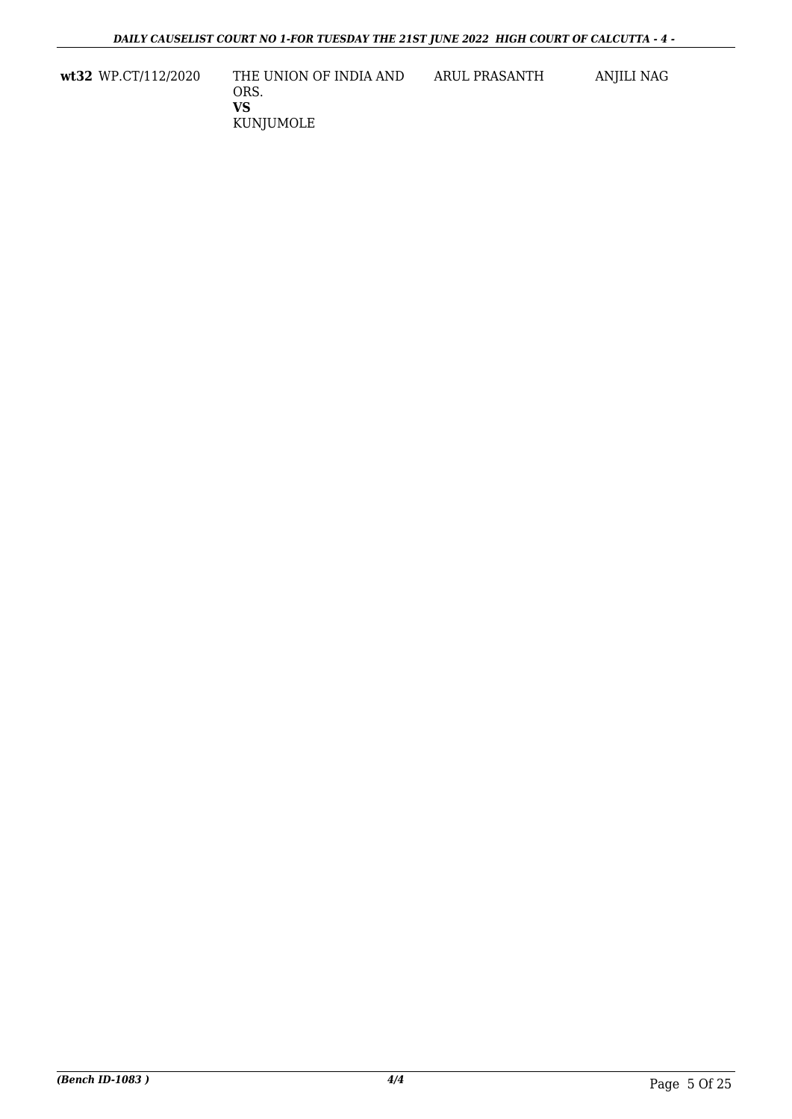**wt32** WP.CT/112/2020 THE UNION OF INDIA AND ORS. **VS** KUNJUMOLE ARUL PRASANTH ANJILI NAG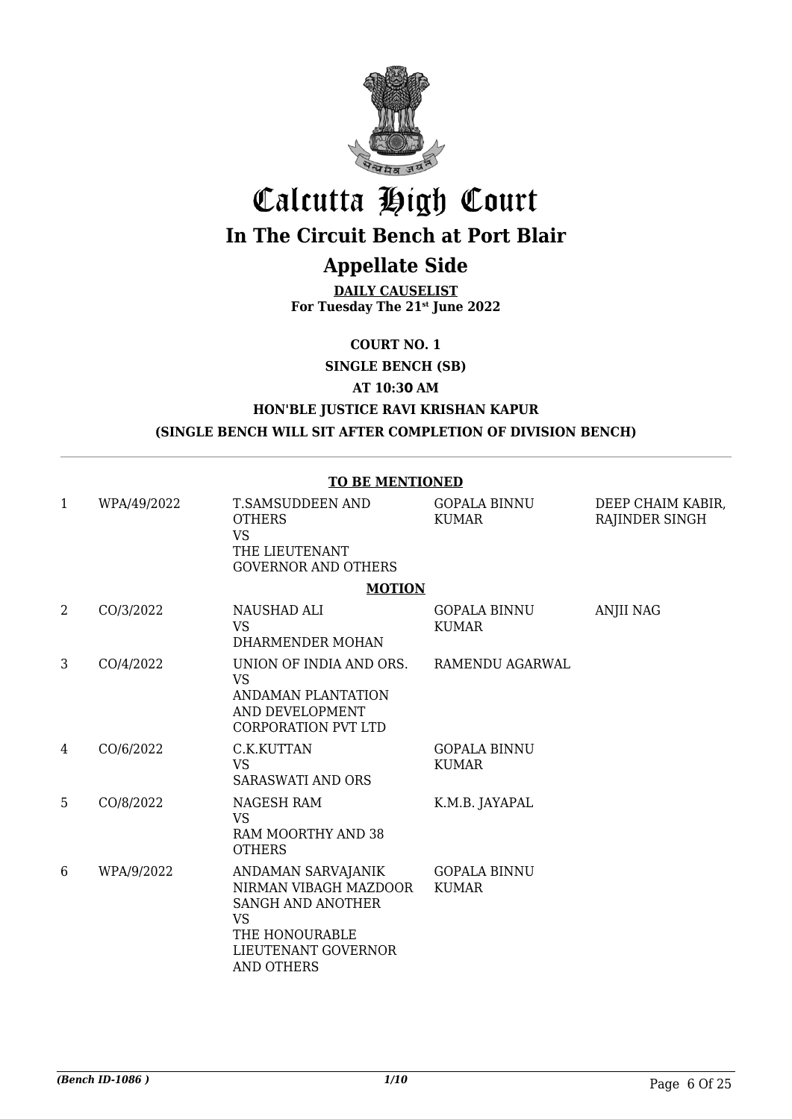

# Calcutta High Court

## **In The Circuit Bench at Port Blair**

### **Appellate Side**

**DAILY CAUSELIST For Tuesday The 21st June 2022**

**COURT NO. 1**

**SINGLE BENCH (SB)**

**AT 10:30 AM**

#### **HON'BLE JUSTICE RAVI KRISHAN KAPUR (SINGLE BENCH WILL SIT AFTER COMPLETION OF DIVISION BENCH)**

**TO BE MENTIONED**

|                |             | TO BE MENTIONED                                                                                                                             |                                     |                                     |
|----------------|-------------|---------------------------------------------------------------------------------------------------------------------------------------------|-------------------------------------|-------------------------------------|
| $\mathbf{1}$   | WPA/49/2022 | T.SAMSUDDEEN AND<br><b>OTHERS</b><br><b>VS</b><br>THE LIEUTENANT<br><b>GOVERNOR AND OTHERS</b>                                              | <b>GOPALA BINNU</b><br><b>KUMAR</b> | DEEP CHAIM KABIR,<br>RAJINDER SINGH |
|                |             | <b>MOTION</b>                                                                                                                               |                                     |                                     |
| $\overline{2}$ | CO/3/2022   | NAUSHAD ALI<br><b>VS</b><br>DHARMENDER MOHAN                                                                                                | <b>GOPALA BINNU</b><br><b>KUMAR</b> | <b>ANJII NAG</b>                    |
| 3              | CO/4/2022   | UNION OF INDIA AND ORS.<br><b>VS</b><br>ANDAMAN PLANTATION<br>AND DEVELOPMENT<br><b>CORPORATION PVT LTD</b>                                 | RAMENDU AGARWAL                     |                                     |
| 4              | CO/6/2022   | C.K.KUTTAN<br><b>VS</b><br><b>SARASWATI AND ORS</b>                                                                                         | <b>GOPALA BINNU</b><br><b>KUMAR</b> |                                     |
| 5              | CO/8/2022   | NAGESH RAM<br><b>VS</b><br>RAM MOORTHY AND 38<br><b>OTHERS</b>                                                                              | K.M.B. JAYAPAL                      |                                     |
| 6              | WPA/9/2022  | ANDAMAN SARVAJANIK<br>NIRMAN VIBAGH MAZDOOR<br>SANGH AND ANOTHER<br><b>VS</b><br>THE HONOURABLE<br>LIEUTENANT GOVERNOR<br><b>AND OTHERS</b> | <b>GOPALA BINNU</b><br><b>KUMAR</b> |                                     |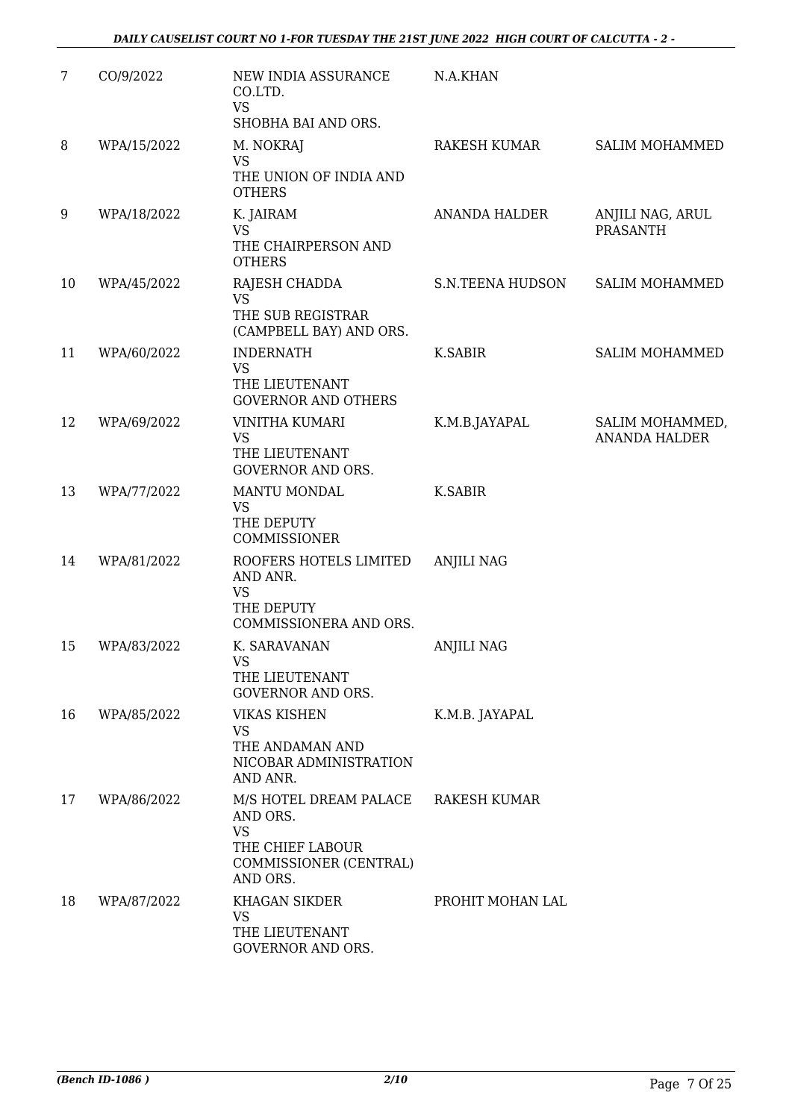| 7  | CO/9/2022   | NEW INDIA ASSURANCE<br>CO.LTD.<br><b>VS</b><br>SHOBHA BAI AND ORS.                                        | N.A.KHAN                |                                         |
|----|-------------|-----------------------------------------------------------------------------------------------------------|-------------------------|-----------------------------------------|
| 8  | WPA/15/2022 | M. NOKRAJ<br><b>VS</b><br>THE UNION OF INDIA AND<br><b>OTHERS</b>                                         | RAKESH KUMAR            | <b>SALIM MOHAMMED</b>                   |
| 9  | WPA/18/2022 | K. JAIRAM<br><b>VS</b><br>THE CHAIRPERSON AND<br><b>OTHERS</b>                                            | <b>ANANDA HALDER</b>    | ANJILI NAG, ARUL<br><b>PRASANTH</b>     |
| 10 | WPA/45/2022 | RAJESH CHADDA<br><b>VS</b><br>THE SUB REGISTRAR<br>(CAMPBELL BAY) AND ORS.                                | <b>S.N.TEENA HUDSON</b> | <b>SALIM MOHAMMED</b>                   |
| 11 | WPA/60/2022 | <b>INDERNATH</b><br><b>VS</b><br>THE LIEUTENANT<br><b>GOVERNOR AND OTHERS</b>                             | K.SABIR                 | <b>SALIM MOHAMMED</b>                   |
| 12 | WPA/69/2022 | VINITHA KUMARI<br><b>VS</b><br>THE LIEUTENANT<br><b>GOVERNOR AND ORS.</b>                                 | K.M.B.JAYAPAL           | SALIM MOHAMMED,<br><b>ANANDA HALDER</b> |
| 13 | WPA/77/2022 | <b>MANTU MONDAL</b><br><b>VS</b><br>THE DEPUTY<br>COMMISSIONER                                            | <b>K.SABIR</b>          |                                         |
| 14 | WPA/81/2022 | ROOFERS HOTELS LIMITED<br>AND ANR.<br><b>VS</b><br>THE DEPUTY<br>COMMISSIONERA AND ORS.                   | <b>ANJILI NAG</b>       |                                         |
| 15 | WPA/83/2022 | K. SARAVANAN<br>VS<br>THE LIEUTENANT<br><b>GOVERNOR AND ORS.</b>                                          | <b>ANJILI NAG</b>       |                                         |
| 16 | WPA/85/2022 | <b>VIKAS KISHEN</b><br><b>VS</b><br>THE ANDAMAN AND<br>NICOBAR ADMINISTRATION<br>AND ANR.                 | K.M.B. JAYAPAL          |                                         |
| 17 | WPA/86/2022 | M/S HOTEL DREAM PALACE<br>AND ORS.<br><b>VS</b><br>THE CHIEF LABOUR<br>COMMISSIONER (CENTRAL)<br>AND ORS. | <b>RAKESH KUMAR</b>     |                                         |
| 18 | WPA/87/2022 | KHAGAN SIKDER<br>VS<br>THE LIEUTENANT<br>GOVERNOR AND ORS.                                                | PROHIT MOHAN LAL        |                                         |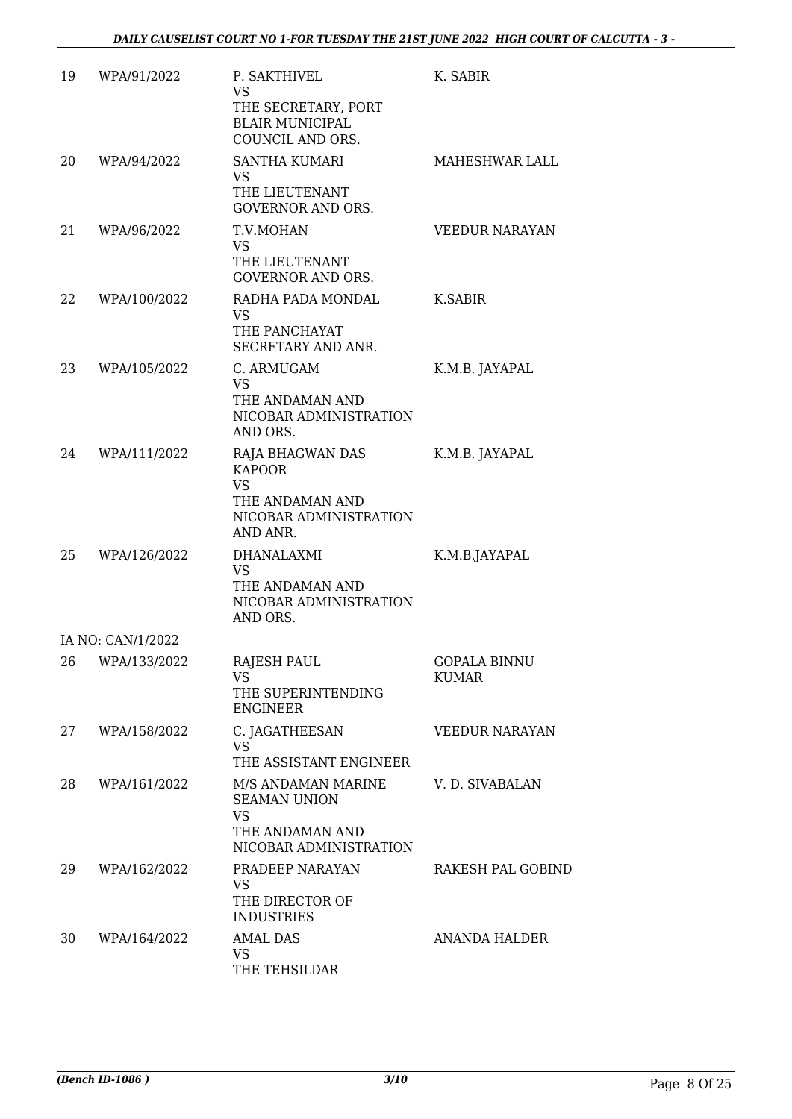| 19 | WPA/91/2022       | P. SAKTHIVEL<br><b>VS</b><br>THE SECRETARY, PORT<br><b>BLAIR MUNICIPAL</b><br>COUNCIL AND ORS.          | K. SABIR                     |
|----|-------------------|---------------------------------------------------------------------------------------------------------|------------------------------|
| 20 | WPA/94/2022       | <b>SANTHA KUMARI</b><br>VS<br>THE LIEUTENANT<br><b>GOVERNOR AND ORS.</b>                                | MAHESHWAR LALL               |
| 21 | WPA/96/2022       | T.V.MOHAN<br><b>VS</b><br>THE LIEUTENANT<br><b>GOVERNOR AND ORS.</b>                                    | <b>VEEDUR NARAYAN</b>        |
| 22 | WPA/100/2022      | RADHA PADA MONDAL<br><b>VS</b><br>THE PANCHAYAT<br>SECRETARY AND ANR.                                   | K.SABIR                      |
| 23 | WPA/105/2022      | C. ARMUGAM<br><b>VS</b><br>THE ANDAMAN AND<br>NICOBAR ADMINISTRATION<br>AND ORS.                        | K.M.B. JAYAPAL               |
| 24 | WPA/111/2022      | RAJA BHAGWAN DAS<br><b>KAPOOR</b><br><b>VS</b><br>THE ANDAMAN AND<br>NICOBAR ADMINISTRATION<br>AND ANR. | K.M.B. JAYAPAL               |
| 25 | WPA/126/2022      | <b>DHANALAXMI</b><br><b>VS</b><br>THE ANDAMAN AND<br>NICOBAR ADMINISTRATION<br>AND ORS.                 | K.M.B.JAYAPAL                |
|    | IA NO: CAN/1/2022 |                                                                                                         |                              |
|    | 26 WPA/133/2022   | <b>RAJESH PAUL</b><br>VS.<br>THE SUPERINTENDING<br><b>ENGINEER</b>                                      | <b>GOPALA BINNU</b><br>KUMAR |
| 27 | WPA/158/2022      | C. JAGATHEESAN<br><b>VS</b><br>THE ASSISTANT ENGINEER                                                   | <b>VEEDUR NARAYAN</b>        |
| 28 | WPA/161/2022      | M/S ANDAMAN MARINE<br><b>SEAMAN UNION</b><br><b>VS</b><br>THE ANDAMAN AND<br>NICOBAR ADMINISTRATION     | V. D. SIVABALAN              |
| 29 | WPA/162/2022      | PRADEEP NARAYAN<br><b>VS</b><br>THE DIRECTOR OF<br><b>INDUSTRIES</b>                                    | RAKESH PAL GOBIND            |
| 30 | WPA/164/2022      | <b>AMAL DAS</b><br>VS<br>THE TEHSILDAR                                                                  | ANANDA HALDER                |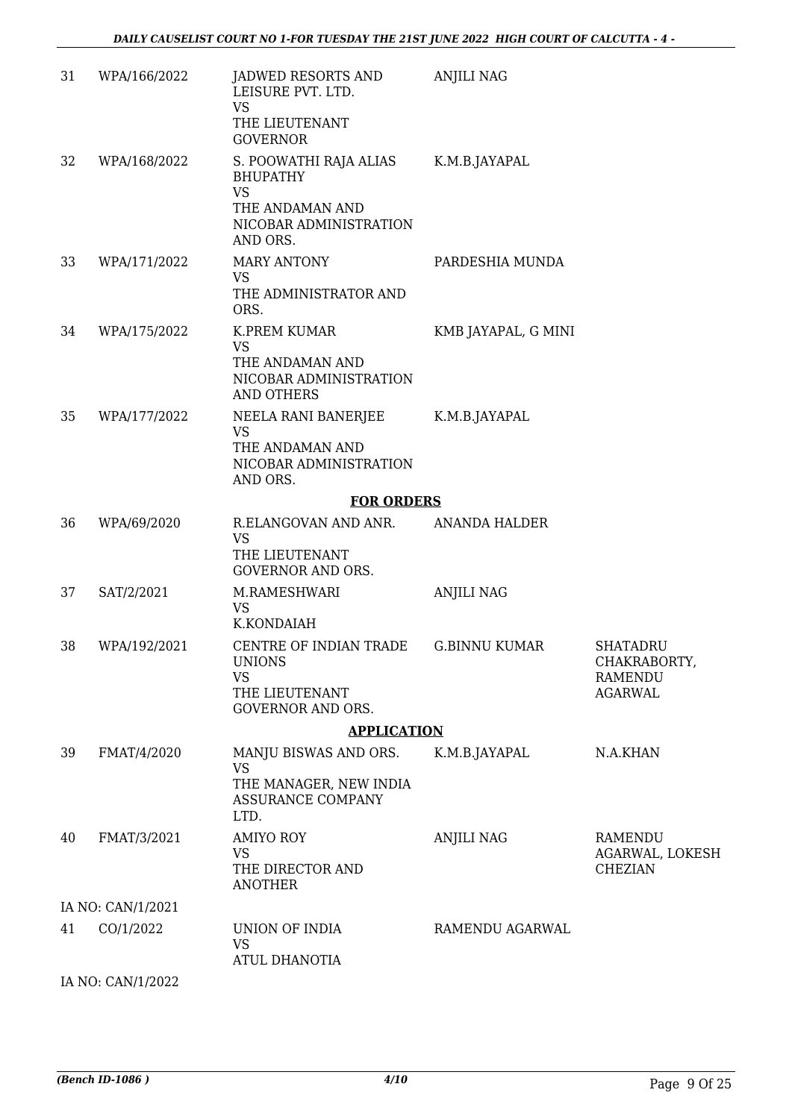| 31 | WPA/166/2022      | JADWED RESORTS AND<br>LEISURE PVT. LTD.<br><b>VS</b><br>THE LIEUTENANT<br><b>GOVERNOR</b>           | <b>ANJILI NAG</b>    |                                                                     |
|----|-------------------|-----------------------------------------------------------------------------------------------------|----------------------|---------------------------------------------------------------------|
| 32 | WPA/168/2022      | S. POOWATHI RAJA ALIAS<br><b>BHUPATHY</b><br><b>VS</b><br>THE ANDAMAN AND<br>NICOBAR ADMINISTRATION | K.M.B.JAYAPAL        |                                                                     |
| 33 | WPA/171/2022      | AND ORS.<br><b>MARY ANTONY</b>                                                                      | PARDESHIA MUNDA      |                                                                     |
|    |                   | <b>VS</b><br>THE ADMINISTRATOR AND<br>ORS.                                                          |                      |                                                                     |
| 34 | WPA/175/2022      | <b>K.PREM KUMAR</b>                                                                                 | KMB JAYAPAL, G MINI  |                                                                     |
|    |                   | <b>VS</b><br>THE ANDAMAN AND<br>NICOBAR ADMINISTRATION<br><b>AND OTHERS</b>                         |                      |                                                                     |
| 35 | WPA/177/2022      | NEELA RANI BANERJEE<br><b>VS</b><br>THE ANDAMAN AND<br>NICOBAR ADMINISTRATION<br>AND ORS.           | K.M.B.JAYAPAL        |                                                                     |
|    |                   | <b>FOR ORDERS</b>                                                                                   |                      |                                                                     |
| 36 | WPA/69/2020       | R.ELANGOVAN AND ANR.<br><b>VS</b><br>THE LIEUTENANT<br><b>GOVERNOR AND ORS.</b>                     | <b>ANANDA HALDER</b> |                                                                     |
| 37 | SAT/2/2021        | M.RAMESHWARI<br>VS<br>K.KONDAIAH                                                                    | <b>ANJILI NAG</b>    |                                                                     |
| 38 | WPA/192/2021      | CENTRE OF INDIAN TRADE<br><b>UNIONS</b><br><b>VS</b><br>THE LIEUTENANT<br><b>GOVERNOR AND ORS.</b>  | <b>G.BINNU KUMAR</b> | <b>SHATADRU</b><br>CHAKRABORTY,<br><b>RAMENDU</b><br><b>AGARWAL</b> |
|    |                   | <b>APPLICATION</b>                                                                                  |                      |                                                                     |
| 39 | FMAT/4/2020       | MANJU BISWAS AND ORS.<br><b>VS</b><br>THE MANAGER, NEW INDIA<br>ASSURANCE COMPANY<br>LTD.           | K.M.B.JAYAPAL        | N.A.KHAN                                                            |
| 40 | FMAT/3/2021       | <b>AMIYO ROY</b><br><b>VS</b><br>THE DIRECTOR AND<br><b>ANOTHER</b>                                 | <b>ANJILI NAG</b>    | <b>RAMENDU</b><br>AGARWAL, LOKESH<br><b>CHEZIAN</b>                 |
|    | IA NO: CAN/1/2021 |                                                                                                     |                      |                                                                     |
| 41 | CO/1/2022         | UNION OF INDIA<br><b>VS</b><br>ATUL DHANOTIA                                                        | RAMENDU AGARWAL      |                                                                     |
|    | IA NO: CAN/1/2022 |                                                                                                     |                      |                                                                     |

*(Bench ID-1086 ) 4/10* Page 9 Of 25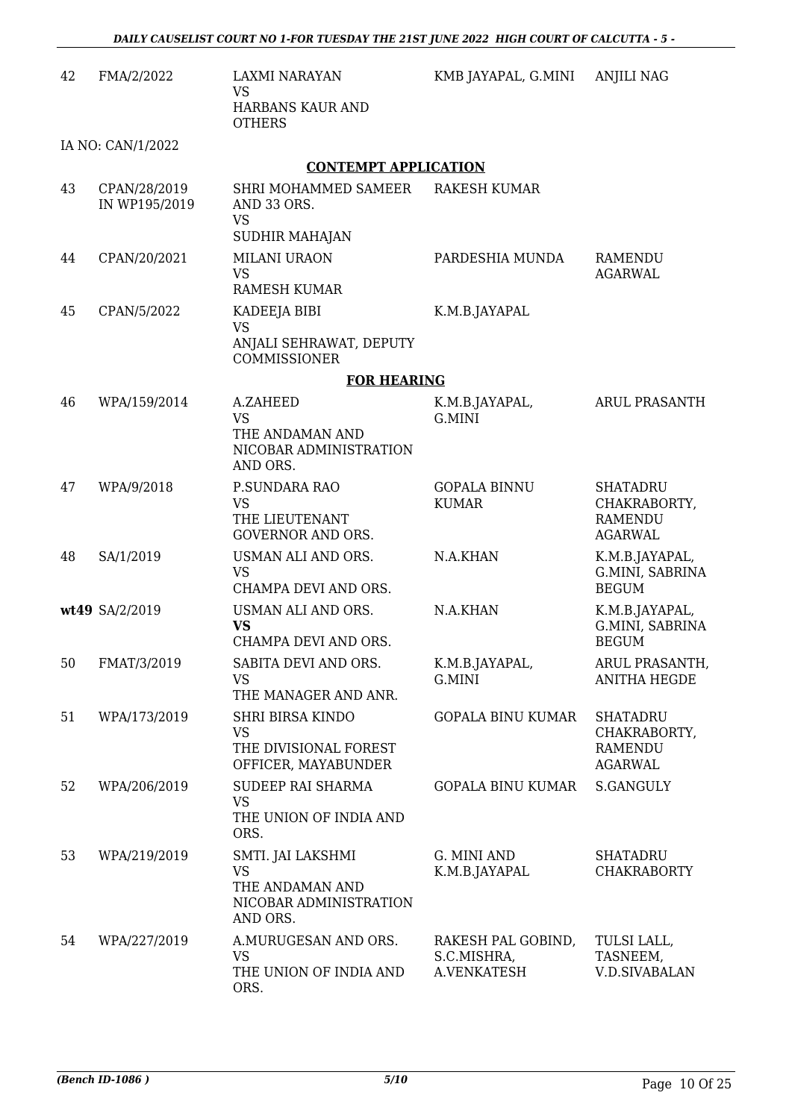| 42 | FMA/2/2022                    | <b>LAXMI NARAYAN</b><br><b>VS</b>                                                       | KMB JAYAPAL, G.MINI                              | <b>ANJILI NAG</b>                                                   |
|----|-------------------------------|-----------------------------------------------------------------------------------------|--------------------------------------------------|---------------------------------------------------------------------|
|    |                               | HARBANS KAUR AND<br><b>OTHERS</b>                                                       |                                                  |                                                                     |
|    | IA NO: CAN/1/2022             |                                                                                         |                                                  |                                                                     |
|    |                               | <b>CONTEMPT APPLICATION</b>                                                             |                                                  |                                                                     |
| 43 | CPAN/28/2019<br>IN WP195/2019 | SHRI MOHAMMED SAMEER<br>AND 33 ORS.<br><b>VS</b><br><b>SUDHIR MAHAJAN</b>               | <b>RAKESH KUMAR</b>                              |                                                                     |
| 44 | CPAN/20/2021                  | <b>MILANI URAON</b>                                                                     | PARDESHIA MUNDA                                  | RAMENDU                                                             |
|    |                               | <b>VS</b><br><b>RAMESH KUMAR</b>                                                        |                                                  | <b>AGARWAL</b>                                                      |
| 45 | CPAN/5/2022                   | KADEEJA BIBI<br><b>VS</b><br>ANJALI SEHRAWAT, DEPUTY<br>COMMISSIONER                    | K.M.B.JAYAPAL                                    |                                                                     |
|    |                               | <b>FOR HEARING</b>                                                                      |                                                  |                                                                     |
| 46 | WPA/159/2014                  | A.ZAHEED                                                                                | K.M.B.JAYAPAL,                                   | ARUL PRASANTH                                                       |
|    |                               | <b>VS</b><br>THE ANDAMAN AND<br>NICOBAR ADMINISTRATION<br>AND ORS.                      | G.MINI                                           |                                                                     |
| 47 | WPA/9/2018                    | P.SUNDARA RAO<br><b>VS</b><br>THE LIEUTENANT<br><b>GOVERNOR AND ORS.</b>                | <b>GOPALA BINNU</b><br><b>KUMAR</b>              | <b>SHATADRU</b><br>CHAKRABORTY,<br><b>RAMENDU</b><br><b>AGARWAL</b> |
| 48 | SA/1/2019                     | USMAN ALI AND ORS.<br><b>VS</b><br>CHAMPA DEVI AND ORS.                                 | N.A.KHAN                                         | K.M.B.JAYAPAL,<br>G.MINI, SABRINA<br><b>BEGUM</b>                   |
|    | wt49 SA/2/2019                | USMAN ALI AND ORS.<br><b>VS</b><br>CHAMPA DEVI AND ORS.                                 | N.A.KHAN                                         | K.M.B.JAYAPAL,<br>G.MINI, SABRINA<br><b>BEGUM</b>                   |
| 50 | FMAT/3/2019                   | SABITA DEVI AND ORS.<br><b>VS</b><br>THE MANAGER AND ANR.                               | K.M.B.JAYAPAL,<br>G.MINI                         | ARUL PRASANTH,<br><b>ANITHA HEGDE</b>                               |
| 51 | WPA/173/2019                  | <b>SHRI BIRSA KINDO</b><br><b>VS</b><br>THE DIVISIONAL FOREST<br>OFFICER, MAYABUNDER    | <b>GOPALA BINU KUMAR</b>                         | <b>SHATADRU</b><br>CHAKRABORTY,<br>RAMENDU<br><b>AGARWAL</b>        |
| 52 | WPA/206/2019                  | SUDEEP RAI SHARMA                                                                       | GOPALA BINU KUMAR                                | <b>S.GANGULY</b>                                                    |
|    |                               | <b>VS</b><br>THE UNION OF INDIA AND<br>ORS.                                             |                                                  |                                                                     |
| 53 | WPA/219/2019                  | SMTI. JAI LAKSHMI<br><b>VS</b><br>THE ANDAMAN AND<br>NICOBAR ADMINISTRATION<br>AND ORS. | G. MINI AND<br>K.M.B.JAYAPAL                     | <b>SHATADRU</b><br><b>CHAKRABORTY</b>                               |
| 54 | WPA/227/2019                  | A.MURUGESAN AND ORS.<br><b>VS</b><br>THE UNION OF INDIA AND<br>ORS.                     | RAKESH PAL GOBIND,<br>S.C.MISHRA,<br>A.VENKATESH | TULSI LALL,<br>TASNEEM,<br><b>V.D.SIVABALAN</b>                     |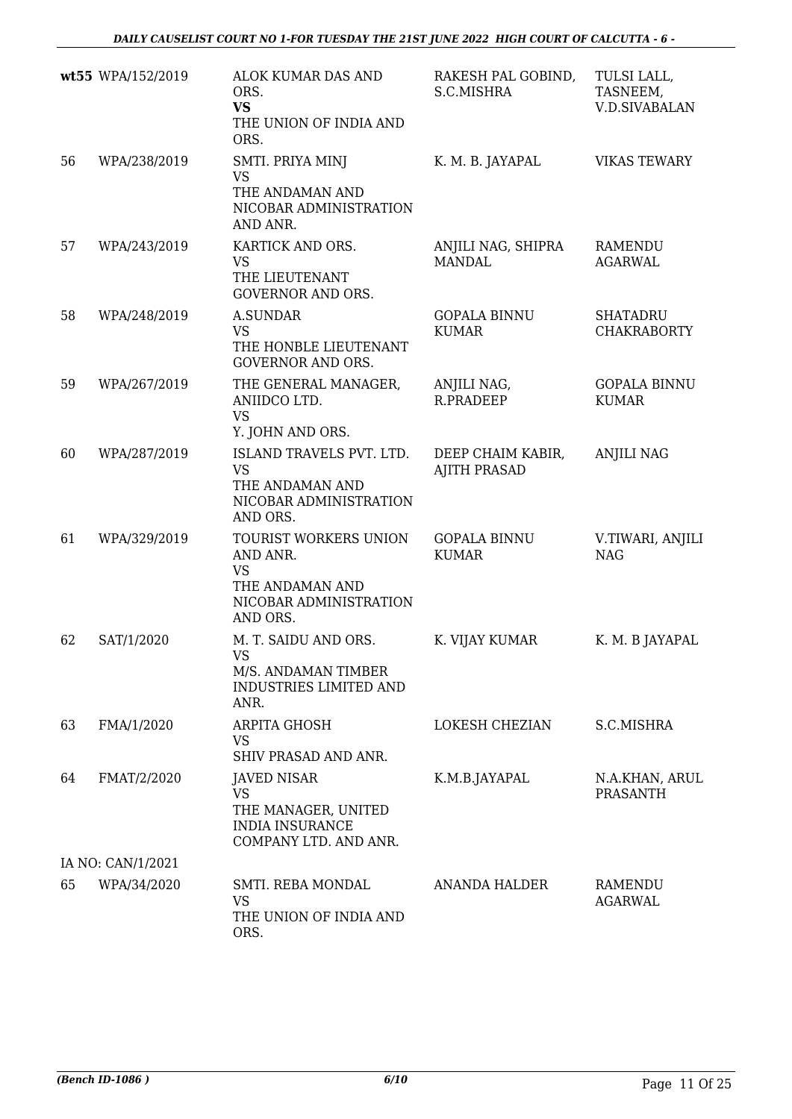|    | wt55 WPA/152/2019 | ALOK KUMAR DAS AND<br>ORS.<br><b>VS</b><br>THE UNION OF INDIA AND<br>ORS.                               | RAKESH PAL GOBIND,<br>S.C.MISHRA         | TULSI LALL,<br>TASNEEM,<br><b>V.D.SIVABALAN</b> |
|----|-------------------|---------------------------------------------------------------------------------------------------------|------------------------------------------|-------------------------------------------------|
| 56 | WPA/238/2019      | SMTI. PRIYA MINJ<br><b>VS</b><br>THE ANDAMAN AND<br>NICOBAR ADMINISTRATION<br>AND ANR.                  | K. M. B. JAYAPAL                         | <b>VIKAS TEWARY</b>                             |
| 57 | WPA/243/2019      | KARTICK AND ORS.<br><b>VS</b><br>THE LIEUTENANT<br><b>GOVERNOR AND ORS.</b>                             | ANJILI NAG, SHIPRA<br><b>MANDAL</b>      | RAMENDU<br><b>AGARWAL</b>                       |
| 58 | WPA/248/2019      | <b>A.SUNDAR</b><br><b>VS</b><br>THE HONBLE LIEUTENANT<br><b>GOVERNOR AND ORS.</b>                       | <b>GOPALA BINNU</b><br><b>KUMAR</b>      | <b>SHATADRU</b><br><b>CHAKRABORTY</b>           |
| 59 | WPA/267/2019      | THE GENERAL MANAGER,<br>ANIIDCO LTD.<br><b>VS</b><br>Y. JOHN AND ORS.                                   | ANJILI NAG,<br><b>R.PRADEEP</b>          | <b>GOPALA BINNU</b><br><b>KUMAR</b>             |
| 60 | WPA/287/2019      | ISLAND TRAVELS PVT. LTD.<br><b>VS</b><br>THE ANDAMAN AND<br>NICOBAR ADMINISTRATION<br>AND ORS.          | DEEP CHAIM KABIR,<br><b>AJITH PRASAD</b> | <b>ANJILI NAG</b>                               |
| 61 | WPA/329/2019      | TOURIST WORKERS UNION<br>AND ANR.<br><b>VS</b><br>THE ANDAMAN AND<br>NICOBAR ADMINISTRATION<br>AND ORS. | <b>GOPALA BINNU</b><br><b>KUMAR</b>      | V.TIWARI, ANJILI<br><b>NAG</b>                  |
| 62 | SAT/1/2020        | M. T. SAIDU AND ORS.<br>VS.<br>M/S. ANDAMAN TIMBER<br>INDUSTRIES LIMITED AND<br>ANR.                    | K. VIJAY KUMAR                           | K. M. B JAYAPAL                                 |
| 63 | FMA/1/2020        | <b>ARPITA GHOSH</b><br>VS<br>SHIV PRASAD AND ANR.                                                       | <b>LOKESH CHEZIAN</b>                    | S.C.MISHRA                                      |
| 64 | FMAT/2/2020       | JAVED NISAR<br><b>VS</b><br>THE MANAGER, UNITED<br><b>INDIA INSURANCE</b><br>COMPANY LTD. AND ANR.      | K.M.B.JAYAPAL                            | N.A.KHAN, ARUL<br><b>PRASANTH</b>               |
|    | IA NO: CAN/1/2021 |                                                                                                         |                                          |                                                 |
| 65 | WPA/34/2020       | SMTI. REBA MONDAL<br>VS<br>THE UNION OF INDIA AND<br>ORS.                                               | <b>ANANDA HALDER</b>                     | RAMENDU<br>AGARWAL                              |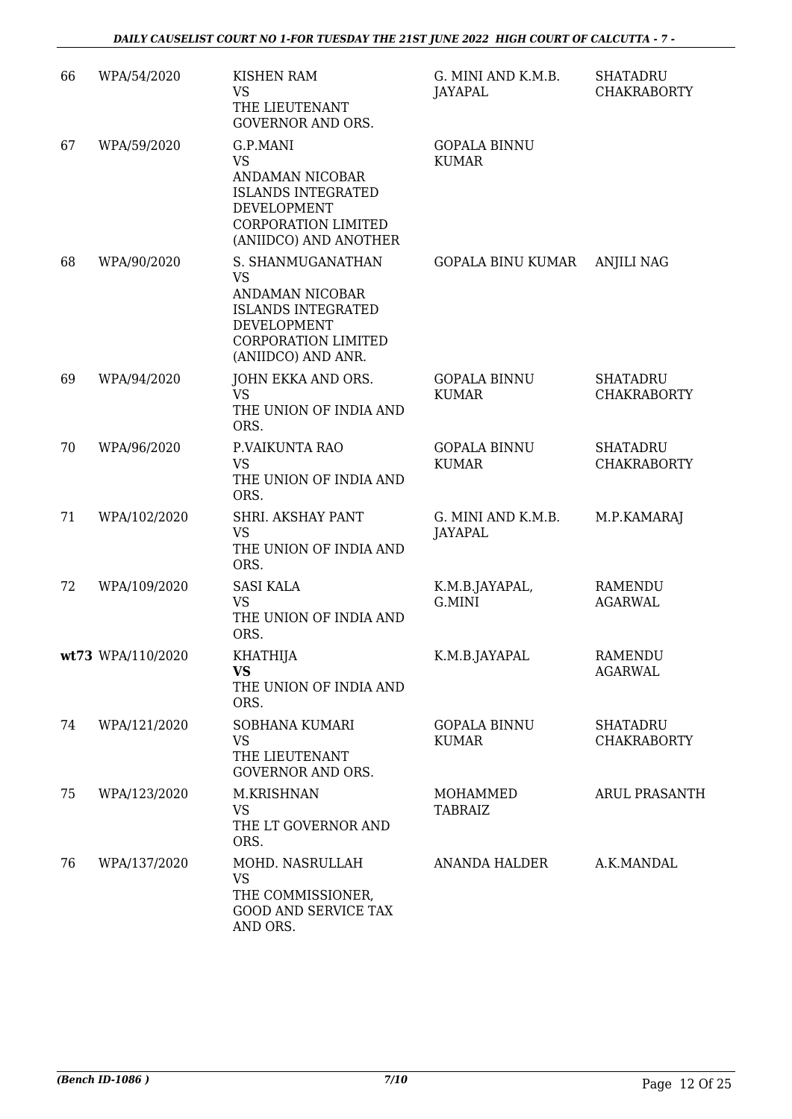| 66 | WPA/54/2020       | <b>KISHEN RAM</b><br><b>VS</b><br>THE LIEUTENANT<br><b>GOVERNOR AND ORS.</b>                                                                       | G. MINI AND K.M.B.<br>JAYAPAL        | <b>SHATADRU</b><br><b>CHAKRABORTY</b> |
|----|-------------------|----------------------------------------------------------------------------------------------------------------------------------------------------|--------------------------------------|---------------------------------------|
| 67 | WPA/59/2020       | G.P.MANI<br><b>VS</b><br>ANDAMAN NICOBAR<br><b>ISLANDS INTEGRATED</b><br><b>DEVELOPMENT</b><br><b>CORPORATION LIMITED</b><br>(ANIIDCO) AND ANOTHER | <b>GOPALA BINNU</b><br><b>KUMAR</b>  |                                       |
| 68 | WPA/90/2020       | S. SHANMUGANATHAN<br><b>VS</b><br>ANDAMAN NICOBAR<br><b>ISLANDS INTEGRATED</b><br>DEVELOPMENT<br><b>CORPORATION LIMITED</b><br>(ANIIDCO) AND ANR.  | <b>GOPALA BINU KUMAR</b>             | <b>ANJILI NAG</b>                     |
| 69 | WPA/94/2020       | JOHN EKKA AND ORS.<br><b>VS</b><br>THE UNION OF INDIA AND<br>ORS.                                                                                  | <b>GOPALA BINNU</b><br><b>KUMAR</b>  | <b>SHATADRU</b><br><b>CHAKRABORTY</b> |
| 70 | WPA/96/2020       | P.VAIKUNTA RAO<br><b>VS</b><br>THE UNION OF INDIA AND<br>ORS.                                                                                      | <b>GOPALA BINNU</b><br><b>KUMAR</b>  | <b>SHATADRU</b><br><b>CHAKRABORTY</b> |
| 71 | WPA/102/2020      | SHRI. AKSHAY PANT<br><b>VS</b><br>THE UNION OF INDIA AND<br>ORS.                                                                                   | G. MINI AND K.M.B.<br><b>JAYAPAL</b> | M.P.KAMARAJ                           |
| 72 | WPA/109/2020      | <b>SASI KALA</b><br><b>VS</b><br>THE UNION OF INDIA AND<br>ORS.                                                                                    | K.M.B.JAYAPAL,<br>G.MINI             | <b>RAMENDU</b><br><b>AGARWAL</b>      |
|    | wt73 WPA/110/2020 | <b>KHATHIJA</b><br><b>VS</b><br>THE UNION OF INDIA AND<br>ORS.                                                                                     | K.M.B.JAYAPAL                        | <b>RAMENDU</b><br><b>AGARWAL</b>      |
| 74 | WPA/121/2020      | SOBHANA KUMARI<br><b>VS</b><br>THE LIEUTENANT<br><b>GOVERNOR AND ORS.</b>                                                                          | <b>GOPALA BINNU</b><br><b>KUMAR</b>  | <b>SHATADRU</b><br><b>CHAKRABORTY</b> |
| 75 | WPA/123/2020      | M.KRISHNAN<br><b>VS</b><br>THE LT GOVERNOR AND<br>ORS.                                                                                             | MOHAMMED<br><b>TABRAIZ</b>           | <b>ARUL PRASANTH</b>                  |
| 76 | WPA/137/2020      | MOHD. NASRULLAH<br><b>VS</b><br>THE COMMISSIONER,<br><b>GOOD AND SERVICE TAX</b><br>AND ORS.                                                       | ANANDA HALDER                        | A.K.MANDAL                            |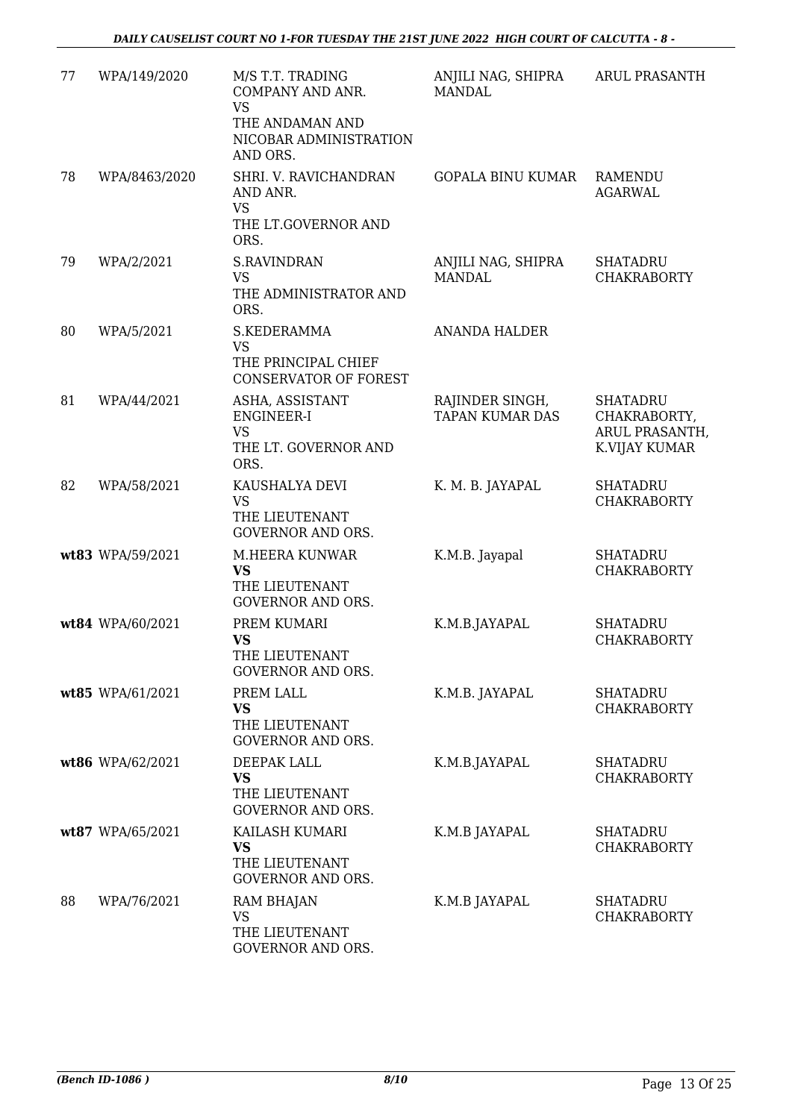| 77 | WPA/149/2020     | M/S T.T. TRADING<br>COMPANY AND ANR.<br><b>VS</b><br>THE ANDAMAN AND<br>NICOBAR ADMINISTRATION<br>AND ORS. | ANJILI NAG, SHIPRA<br><b>MANDAL</b>       | ARUL PRASANTH                                                      |
|----|------------------|------------------------------------------------------------------------------------------------------------|-------------------------------------------|--------------------------------------------------------------------|
| 78 | WPA/8463/2020    | SHRI. V. RAVICHANDRAN<br>AND ANR.<br><b>VS</b><br>THE LT.GOVERNOR AND                                      | <b>GOPALA BINU KUMAR</b>                  | RAMENDU<br><b>AGARWAL</b>                                          |
| 79 | WPA/2/2021       | ORS.<br><b>S.RAVINDRAN</b><br><b>VS</b><br>THE ADMINISTRATOR AND<br>ORS.                                   | ANJILI NAG, SHIPRA<br><b>MANDAL</b>       | <b>SHATADRU</b><br><b>CHAKRABORTY</b>                              |
| 80 | WPA/5/2021       | S.KEDERAMMA<br><b>VS</b><br>THE PRINCIPAL CHIEF<br><b>CONSERVATOR OF FOREST</b>                            | <b>ANANDA HALDER</b>                      |                                                                    |
| 81 | WPA/44/2021      | ASHA, ASSISTANT<br><b>ENGINEER-I</b><br>VS<br>THE LT. GOVERNOR AND<br>ORS.                                 | RAJINDER SINGH,<br><b>TAPAN KUMAR DAS</b> | <b>SHATADRU</b><br>CHAKRABORTY,<br>ARUL PRASANTH,<br>K.VIJAY KUMAR |
| 82 | WPA/58/2021      | KAUSHALYA DEVI<br><b>VS</b><br>THE LIEUTENANT<br><b>GOVERNOR AND ORS.</b>                                  | K. M. B. JAYAPAL                          | <b>SHATADRU</b><br><b>CHAKRABORTY</b>                              |
|    | wt83 WPA/59/2021 | M.HEERA KUNWAR<br><b>VS</b><br>THE LIEUTENANT<br><b>GOVERNOR AND ORS.</b>                                  | K.M.B. Jayapal                            | <b>SHATADRU</b><br><b>CHAKRABORTY</b>                              |
|    | wt84 WPA/60/2021 | PREM KUMARI<br><b>VS</b><br>THE LIEUTENANT<br>GOVERNOR AND ORS.                                            | K.M.B.JAYAPAL                             | <b>SHATADRU</b><br><b>CHAKRABORTY</b>                              |
|    | wt85 WPA/61/2021 | PREM LALL<br><b>VS</b><br>THE LIEUTENANT<br><b>GOVERNOR AND ORS.</b>                                       | K.M.B. JAYAPAL                            | <b>SHATADRU</b><br><b>CHAKRABORTY</b>                              |
|    | wt86 WPA/62/2021 | DEEPAK LALL<br><b>VS</b><br>THE LIEUTENANT<br><b>GOVERNOR AND ORS.</b>                                     | K.M.B.JAYAPAL                             | <b>SHATADRU</b><br><b>CHAKRABORTY</b>                              |
|    | wt87 WPA/65/2021 | KAILASH KUMARI<br><b>VS</b><br>THE LIEUTENANT<br><b>GOVERNOR AND ORS.</b>                                  | K.M.B JAYAPAL                             | <b>SHATADRU</b><br><b>CHAKRABORTY</b>                              |
| 88 | WPA/76/2021      | RAM BHAJAN<br><b>VS</b><br>THE LIEUTENANT<br>GOVERNOR AND ORS.                                             | K.M.B JAYAPAL                             | <b>SHATADRU</b><br><b>CHAKRABORTY</b>                              |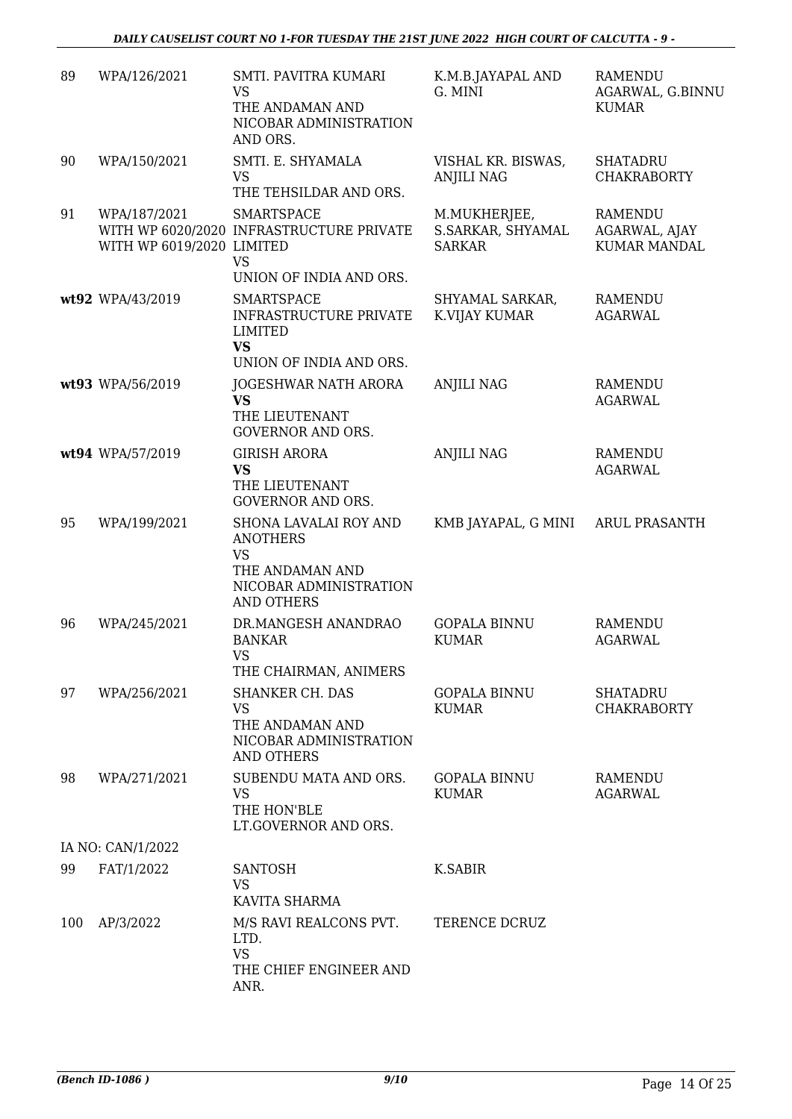| 89  | WPA/126/2021                              | SMTI. PAVITRA KUMARI<br><b>VS</b><br>THE ANDAMAN AND<br>NICOBAR ADMINISTRATION<br>AND ORS.                       | K.M.B.JAYAPAL AND<br>G. MINI                       | <b>RAMENDU</b><br>AGARWAL, G.BINNU<br><b>KUMAR</b>     |
|-----|-------------------------------------------|------------------------------------------------------------------------------------------------------------------|----------------------------------------------------|--------------------------------------------------------|
| 90  | WPA/150/2021                              | SMTI. E. SHYAMALA<br><b>VS</b><br>THE TEHSILDAR AND ORS.                                                         | VISHAL KR. BISWAS,<br><b>ANJILI NAG</b>            | <b>SHATADRU</b><br><b>CHAKRABORTY</b>                  |
| 91  | WPA/187/2021<br>WITH WP 6019/2020 LIMITED | <b>SMARTSPACE</b><br>WITH WP 6020/2020 INFRASTRUCTURE PRIVATE<br><b>VS</b><br>UNION OF INDIA AND ORS.            | M.MUKHERJEE,<br>S.SARKAR, SHYAMAL<br><b>SARKAR</b> | <b>RAMENDU</b><br>AGARWAL, AJAY<br><b>KUMAR MANDAL</b> |
|     | wt92 WPA/43/2019                          | <b>SMARTSPACE</b><br>INFRASTRUCTURE PRIVATE<br><b>LIMITED</b><br><b>VS</b><br>UNION OF INDIA AND ORS.            | SHYAMAL SARKAR,<br>K.VIJAY KUMAR                   | <b>RAMENDU</b><br><b>AGARWAL</b>                       |
|     | wt93 WPA/56/2019                          | JOGESHWAR NATH ARORA<br><b>VS</b><br>THE LIEUTENANT<br><b>GOVERNOR AND ORS.</b>                                  | <b>ANJILI NAG</b>                                  | <b>RAMENDU</b><br><b>AGARWAL</b>                       |
|     | wt94 WPA/57/2019                          | <b>GIRISH ARORA</b><br><b>VS</b><br>THE LIEUTENANT<br><b>GOVERNOR AND ORS.</b>                                   | <b>ANJILI NAG</b>                                  | <b>RAMENDU</b><br><b>AGARWAL</b>                       |
| 95  | WPA/199/2021                              | SHONA LAVALAI ROY AND<br><b>ANOTHERS</b><br><b>VS</b><br>THE ANDAMAN AND<br>NICOBAR ADMINISTRATION<br>AND OTHERS | KMB JAYAPAL, G MINI                                | <b>ARUL PRASANTH</b>                                   |
| 96  | WPA/245/2021                              | DR.MANGESH ANANDRAO<br><b>BANKAR</b><br><b>VS</b><br>THE CHAIRMAN, ANIMERS                                       | <b>GOPALA BINNU</b><br><b>KUMAR</b>                | <b>RAMENDU</b><br><b>AGARWAL</b>                       |
| 97  | WPA/256/2021                              | <b>SHANKER CH. DAS</b><br><b>VS</b><br>THE ANDAMAN AND<br>NICOBAR ADMINISTRATION<br><b>AND OTHERS</b>            | <b>GOPALA BINNU</b><br><b>KUMAR</b>                | <b>SHATADRU</b><br><b>CHAKRABORTY</b>                  |
| 98  | WPA/271/2021                              | SUBENDU MATA AND ORS.<br><b>VS</b><br>THE HON'BLE<br>LT.GOVERNOR AND ORS.                                        | <b>GOPALA BINNU</b><br><b>KUMAR</b>                | <b>RAMENDU</b><br><b>AGARWAL</b>                       |
|     | IA NO: CAN/1/2022                         |                                                                                                                  |                                                    |                                                        |
| 99  | FAT/1/2022                                | <b>SANTOSH</b><br><b>VS</b><br>KAVITA SHARMA                                                                     | <b>K.SABIR</b>                                     |                                                        |
| 100 | AP/3/2022                                 | M/S RAVI REALCONS PVT.<br>LTD.<br><b>VS</b><br>THE CHIEF ENGINEER AND<br>ANR.                                    | TERENCE DCRUZ                                      |                                                        |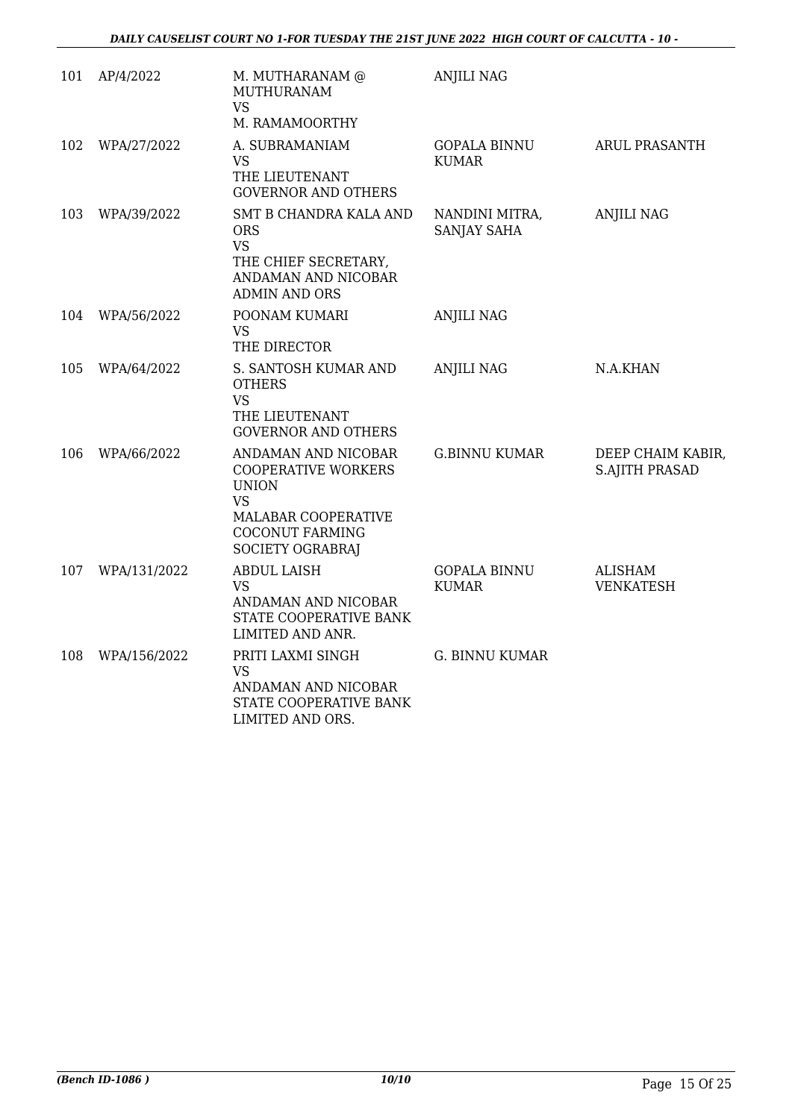| 101 | AP/4/2022    | M. MUTHARANAM @<br><b>MUTHURANAM</b><br><b>VS</b><br>M. RAMAMOORTHY                                                                          | <b>ANJILI NAG</b>                    |                                            |
|-----|--------------|----------------------------------------------------------------------------------------------------------------------------------------------|--------------------------------------|--------------------------------------------|
| 102 | WPA/27/2022  | A. SUBRAMANIAM<br><b>VS</b><br>THE LIEUTENANT<br><b>GOVERNOR AND OTHERS</b>                                                                  | <b>GOPALA BINNU</b><br><b>KUMAR</b>  | <b>ARUL PRASANTH</b>                       |
| 103 | WPA/39/2022  | SMT B CHANDRA KALA AND<br><b>ORS</b><br><b>VS</b><br>THE CHIEF SECRETARY,<br>ANDAMAN AND NICOBAR<br><b>ADMIN AND ORS</b>                     | NANDINI MITRA,<br><b>SANJAY SAHA</b> | <b>ANJILI NAG</b>                          |
| 104 | WPA/56/2022  | POONAM KUMARI<br><b>VS</b><br>THE DIRECTOR                                                                                                   | <b>ANJILI NAG</b>                    |                                            |
| 105 | WPA/64/2022  | S. SANTOSH KUMAR AND<br><b>OTHERS</b><br><b>VS</b><br>THE LIEUTENANT<br><b>GOVERNOR AND OTHERS</b>                                           | <b>ANJILI NAG</b>                    | N.A.KHAN                                   |
| 106 | WPA/66/2022  | ANDAMAN AND NICOBAR<br><b>COOPERATIVE WORKERS</b><br><b>UNION</b><br>VS<br>MALABAR COOPERATIVE<br><b>COCONUT FARMING</b><br>SOCIETY OGRABRAJ | <b>G.BINNU KUMAR</b>                 | DEEP CHAIM KABIR,<br><b>S.AJITH PRASAD</b> |
| 107 | WPA/131/2022 | <b>ABDUL LAISH</b><br><b>VS</b><br>ANDAMAN AND NICOBAR<br>STATE COOPERATIVE BANK<br>LIMITED AND ANR.                                         | <b>GOPALA BINNU</b><br><b>KUMAR</b>  | <b>ALISHAM</b><br><b>VENKATESH</b>         |
| 108 | WPA/156/2022 | PRITI LAXMI SINGH<br>VS<br>ANDAMAN AND NICOBAR<br>STATE COOPERATIVE BANK<br>LIMITED AND ORS.                                                 | <b>G. BINNU KUMAR</b>                |                                            |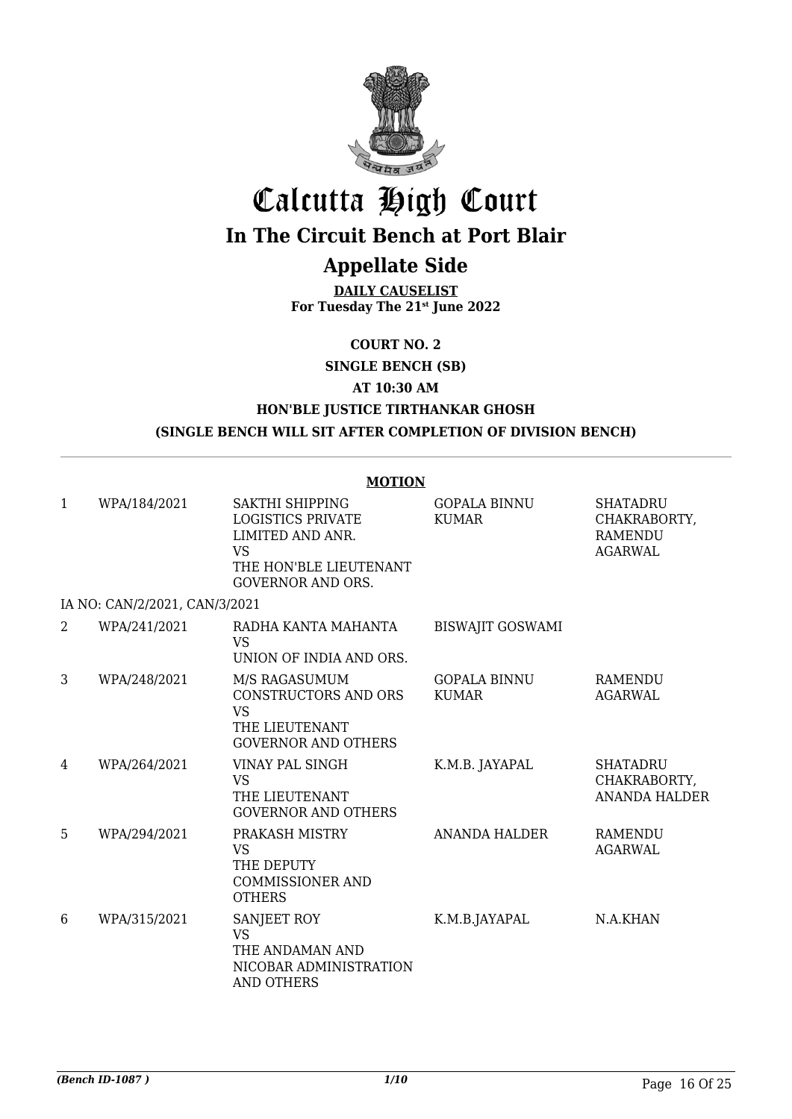

# Calcutta High Court

## **In The Circuit Bench at Port Blair**

### **Appellate Side**

**DAILY CAUSELIST For Tuesday The 21st June 2022**

**COURT NO. 2**

**SINGLE BENCH (SB)**

**AT 10:30 AM**

#### **HON'BLE JUSTICE TIRTHANKAR GHOSH (SINGLE BENCH WILL SIT AFTER COMPLETION OF DIVISION BENCH)**

#### **MOTION**

| 1              | WPA/184/2021                  | SAKTHI SHIPPING<br><b>LOGISTICS PRIVATE</b><br>LIMITED AND ANR.<br><b>VS</b><br>THE HON'BLE LIEUTENANT | <b>GOPALA BINNU</b><br><b>KUMAR</b> | <b>SHATADRU</b><br>CHAKRABORTY,<br><b>RAMENDU</b><br><b>AGARWAL</b> |
|----------------|-------------------------------|--------------------------------------------------------------------------------------------------------|-------------------------------------|---------------------------------------------------------------------|
|                |                               | <b>GOVERNOR AND ORS.</b>                                                                               |                                     |                                                                     |
|                | IA NO: CAN/2/2021, CAN/3/2021 |                                                                                                        |                                     |                                                                     |
| $\overline{2}$ | WPA/241/2021                  | RADHA KANTA MAHANTA<br>VS.<br>UNION OF INDIA AND ORS.                                                  | <b>BISWAJIT GOSWAMI</b>             |                                                                     |
| 3              | WPA/248/2021                  | M/S RAGASUMUM<br>CONSTRUCTORS AND ORS<br><b>VS</b><br>THE LIEUTENANT<br><b>GOVERNOR AND OTHERS</b>     | <b>GOPALA BINNU</b><br><b>KUMAR</b> | <b>RAMENDU</b><br><b>AGARWAL</b>                                    |
| 4              | WPA/264/2021                  | VINAY PAL SINGH<br><b>VS</b><br>THE LIEUTENANT<br><b>GOVERNOR AND OTHERS</b>                           | K.M.B. JAYAPAL                      | <b>SHATADRU</b><br>CHAKRABORTY,<br><b>ANANDA HALDER</b>             |
| 5              | WPA/294/2021                  | PRAKASH MISTRY<br>VS.<br>THE DEPUTY<br><b>COMMISSIONER AND</b><br><b>OTHERS</b>                        | <b>ANANDA HALDER</b>                | <b>RAMENDU</b><br>AGARWAL                                           |
| 6              | WPA/315/2021                  | SANJEET ROY<br><b>VS</b><br>THE ANDAMAN AND<br>NICOBAR ADMINISTRATION<br>AND OTHERS                    | K.M.B.JAYAPAL                       | N.A.KHAN                                                            |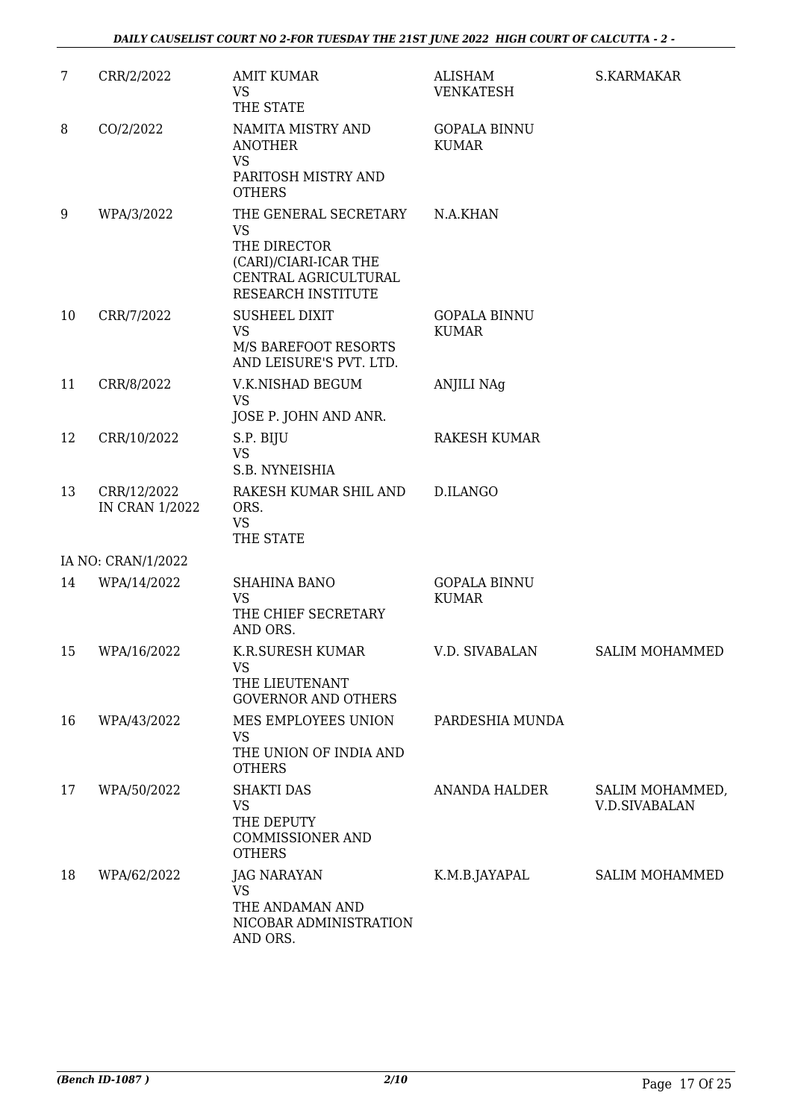| $\overline{7}$ | CRR/2/2022                           | <b>AMIT KUMAR</b><br><b>VS</b><br>THE STATE                                                                               | ALISHAM<br><b>VENKATESH</b>         | S.KARMAKAR                              |
|----------------|--------------------------------------|---------------------------------------------------------------------------------------------------------------------------|-------------------------------------|-----------------------------------------|
| 8              | CO/2/2022                            | NAMITA MISTRY AND<br><b>ANOTHER</b><br><b>VS</b><br>PARITOSH MISTRY AND<br><b>OTHERS</b>                                  | <b>GOPALA BINNU</b><br><b>KUMAR</b> |                                         |
| 9              | WPA/3/2022                           | THE GENERAL SECRETARY<br><b>VS</b><br>THE DIRECTOR<br>(CARI)/CIARI-ICAR THE<br>CENTRAL AGRICULTURAL<br>RESEARCH INSTITUTE | N.A.KHAN                            |                                         |
| 10             | CRR/7/2022                           | <b>SUSHEEL DIXIT</b><br><b>VS</b><br>M/S BAREFOOT RESORTS<br>AND LEISURE'S PVT. LTD.                                      | <b>GOPALA BINNU</b><br><b>KUMAR</b> |                                         |
| 11             | CRR/8/2022                           | V.K.NISHAD BEGUM<br><b>VS</b><br>JOSE P. JOHN AND ANR.                                                                    | <b>ANJILI NAg</b>                   |                                         |
| 12             | CRR/10/2022                          | S.P. BIJU<br><b>VS</b><br>S.B. NYNEISHIA                                                                                  | <b>RAKESH KUMAR</b>                 |                                         |
| 13             | CRR/12/2022<br><b>IN CRAN 1/2022</b> | RAKESH KUMAR SHIL AND<br>ORS.<br><b>VS</b><br>THE STATE                                                                   | <b>D.ILANGO</b>                     |                                         |
|                | IA NO: CRAN/1/2022                   |                                                                                                                           |                                     |                                         |
| 14             | WPA/14/2022                          | <b>SHAHINA BANO</b><br><b>VS</b><br>THE CHIEF SECRETARY<br>AND ORS.                                                       | <b>GOPALA BINNU</b><br><b>KUMAR</b> |                                         |
| 15             | WPA/16/2022                          | K.R.SURESH KUMAR<br><b>VS</b><br>THE LIEUTENANT<br><b>GOVERNOR AND OTHERS</b>                                             | V.D. SIVABALAN                      | SALIM MOHAMMED                          |
| 16             | WPA/43/2022                          | MES EMPLOYEES UNION<br><b>VS</b><br>THE UNION OF INDIA AND<br><b>OTHERS</b>                                               | PARDESHIA MUNDA                     |                                         |
| 17             | WPA/50/2022                          | <b>SHAKTI DAS</b><br><b>VS</b><br>THE DEPUTY<br><b>COMMISSIONER AND</b><br><b>OTHERS</b>                                  | <b>ANANDA HALDER</b>                | SALIM MOHAMMED,<br><b>V.D.SIVABALAN</b> |
| 18             | WPA/62/2022                          | <b>JAG NARAYAN</b><br>VS<br>THE ANDAMAN AND<br>NICOBAR ADMINISTRATION<br>AND ORS.                                         | K.M.B.JAYAPAL                       | <b>SALIM MOHAMMED</b>                   |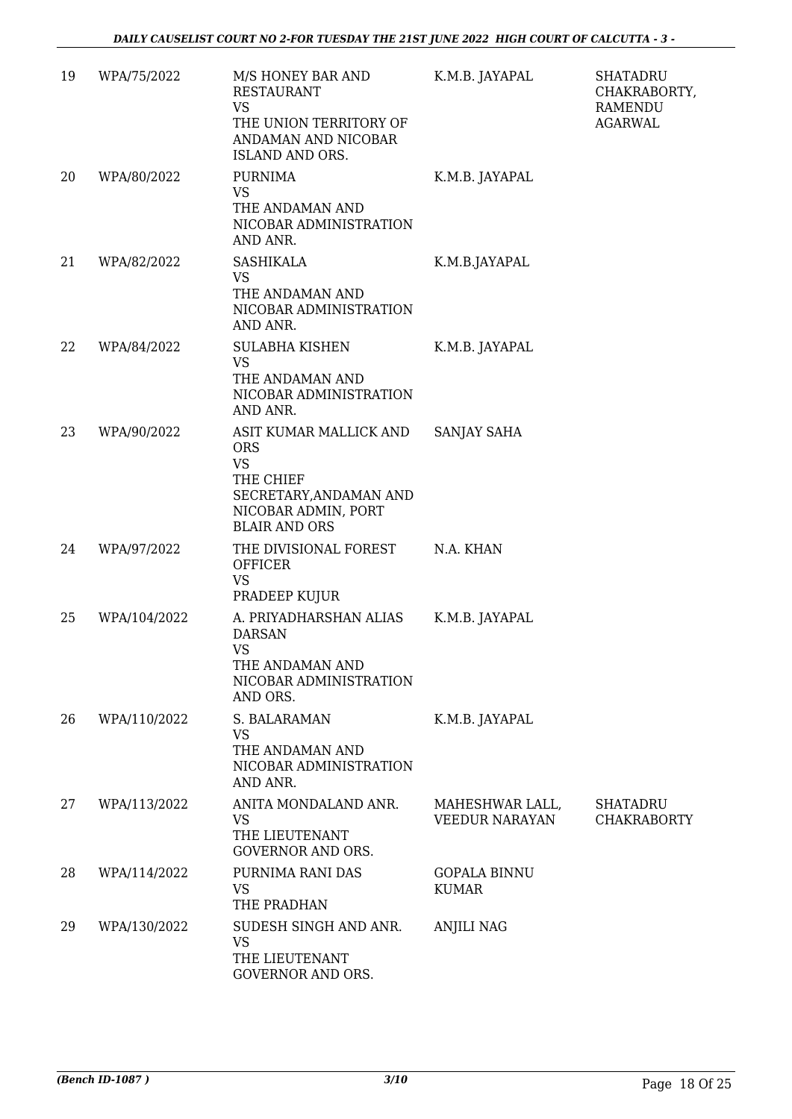| 19 | WPA/75/2022  | M/S HONEY BAR AND<br><b>RESTAURANT</b><br><b>VS</b><br>THE UNION TERRITORY OF<br>ANDAMAN AND NICOBAR<br>ISLAND AND ORS.                 | K.M.B. JAYAPAL                      | <b>SHATADRU</b><br>CHAKRABORTY,<br><b>RAMENDU</b><br><b>AGARWAL</b> |
|----|--------------|-----------------------------------------------------------------------------------------------------------------------------------------|-------------------------------------|---------------------------------------------------------------------|
| 20 | WPA/80/2022  | <b>PURNIMA</b><br><b>VS</b><br>THE ANDAMAN AND<br>NICOBAR ADMINISTRATION<br>AND ANR.                                                    | K.M.B. JAYAPAL                      |                                                                     |
| 21 | WPA/82/2022  | <b>SASHIKALA</b><br><b>VS</b><br>THE ANDAMAN AND<br>NICOBAR ADMINISTRATION<br>AND ANR.                                                  | K.M.B.JAYAPAL                       |                                                                     |
| 22 | WPA/84/2022  | <b>SULABHA KISHEN</b><br>VS.<br>THE ANDAMAN AND<br>NICOBAR ADMINISTRATION<br>AND ANR.                                                   | K.M.B. JAYAPAL                      |                                                                     |
| 23 | WPA/90/2022  | ASIT KUMAR MALLICK AND<br><b>ORS</b><br><b>VS</b><br>THE CHIEF<br>SECRETARY, ANDAMAN AND<br>NICOBAR ADMIN, PORT<br><b>BLAIR AND ORS</b> | SANJAY SAHA                         |                                                                     |
| 24 | WPA/97/2022  | THE DIVISIONAL FOREST<br><b>OFFICER</b><br><b>VS</b><br>PRADEEP KUJUR                                                                   | N.A. KHAN                           |                                                                     |
| 25 | WPA/104/2022 | A. PRIYADHARSHAN ALIAS<br><b>DARSAN</b><br>VS<br>THE ANDAMAN AND<br>NICOBAR ADMINISTRATION<br>AND ORS.                                  | K.M.B. JAYAPAL                      |                                                                     |
| 26 | WPA/110/2022 | S. BALARAMAN<br>VS<br>THE ANDAMAN AND<br>NICOBAR ADMINISTRATION<br>AND ANR.                                                             | K.M.B. JAYAPAL                      |                                                                     |
| 27 | WPA/113/2022 | ANITA MONDALAND ANR.<br><b>VS</b><br>THE LIEUTENANT<br><b>GOVERNOR AND ORS.</b>                                                         | MAHESHWAR LALL,<br>VEEDUR NARAYAN   | <b>SHATADRU</b><br><b>CHAKRABORTY</b>                               |
| 28 | WPA/114/2022 | PURNIMA RANI DAS<br>VS<br>THE PRADHAN                                                                                                   | <b>GOPALA BINNU</b><br><b>KUMAR</b> |                                                                     |
| 29 | WPA/130/2022 | SUDESH SINGH AND ANR.<br><b>VS</b><br>THE LIEUTENANT<br>GOVERNOR AND ORS.                                                               | <b>ANJILI NAG</b>                   |                                                                     |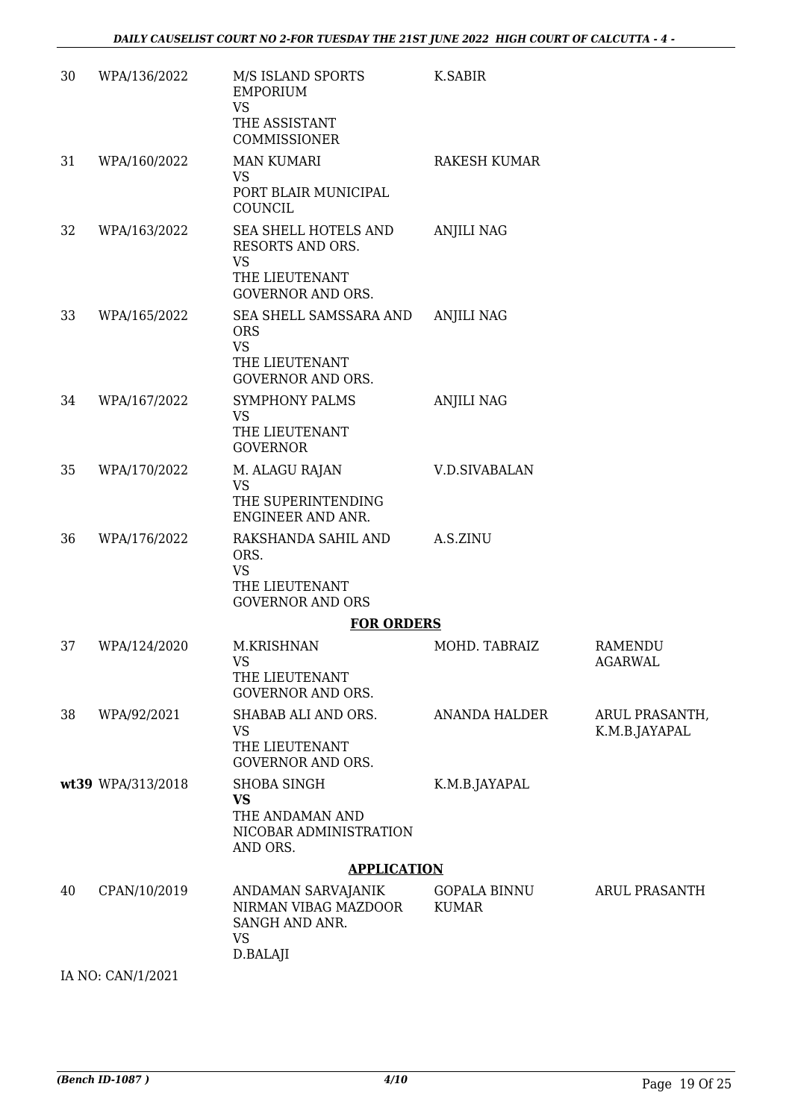| 30 | WPA/136/2022      | M/S ISLAND SPORTS<br><b>EMPORIUM</b><br><b>VS</b><br>THE ASSISTANT<br>COMMISSIONER                  | K.SABIR                             |                                 |
|----|-------------------|-----------------------------------------------------------------------------------------------------|-------------------------------------|---------------------------------|
| 31 | WPA/160/2022      | <b>MAN KUMARI</b>                                                                                   | <b>RAKESH KUMAR</b>                 |                                 |
|    |                   | <b>VS</b><br>PORT BLAIR MUNICIPAL<br>COUNCIL                                                        |                                     |                                 |
| 32 | WPA/163/2022      | SEA SHELL HOTELS AND<br>RESORTS AND ORS.<br><b>VS</b><br>THE LIEUTENANT<br><b>GOVERNOR AND ORS.</b> | <b>ANJILI NAG</b>                   |                                 |
| 33 | WPA/165/2022      | SEA SHELL SAMSSARA AND<br><b>ORS</b><br><b>VS</b><br>THE LIEUTENANT<br><b>GOVERNOR AND ORS.</b>     | <b>ANJILI NAG</b>                   |                                 |
| 34 | WPA/167/2022      | <b>SYMPHONY PALMS</b><br><b>VS</b><br>THE LIEUTENANT<br><b>GOVERNOR</b>                             | <b>ANJILI NAG</b>                   |                                 |
| 35 | WPA/170/2022      | M. ALAGU RAJAN<br><b>VS</b><br>THE SUPERINTENDING<br>ENGINEER AND ANR.                              | <b>V.D.SIVABALAN</b>                |                                 |
| 36 | WPA/176/2022      | RAKSHANDA SAHIL AND<br>ORS.<br><b>VS</b><br>THE LIEUTENANT<br><b>GOVERNOR AND ORS</b>               | A.S.ZINU                            |                                 |
|    |                   | <b>FOR ORDERS</b>                                                                                   |                                     |                                 |
| 37 | WPA/124/2020      | M.KRISHNAN<br><b>VS</b><br>THE LIEUTENANT<br><b>GOVERNOR AND ORS.</b>                               | MOHD. TABRAIZ                       | RAMENDU<br><b>AGARWAL</b>       |
| 38 | WPA/92/2021       | SHABAB ALI AND ORS.<br>VS<br>THE LIEUTENANT<br><b>GOVERNOR AND ORS.</b>                             | <b>ANANDA HALDER</b>                | ARUL PRASANTH,<br>K.M.B.JAYAPAL |
|    | wt39 WPA/313/2018 | <b>SHOBA SINGH</b><br><b>VS</b><br>THE ANDAMAN AND<br>NICOBAR ADMINISTRATION<br>AND ORS.            | K.M.B.JAYAPAL                       |                                 |
|    |                   | <b>APPLICATION</b>                                                                                  |                                     |                                 |
| 40 | CPAN/10/2019      | ANDAMAN SARVAJANIK<br>NIRMAN VIBAG MAZDOOR<br>SANGH AND ANR.<br><b>VS</b><br>D.BALAJI               | <b>GOPALA BINNU</b><br><b>KUMAR</b> | <b>ARUL PRASANTH</b>            |
|    | IA NO: CAN/1/2021 |                                                                                                     |                                     |                                 |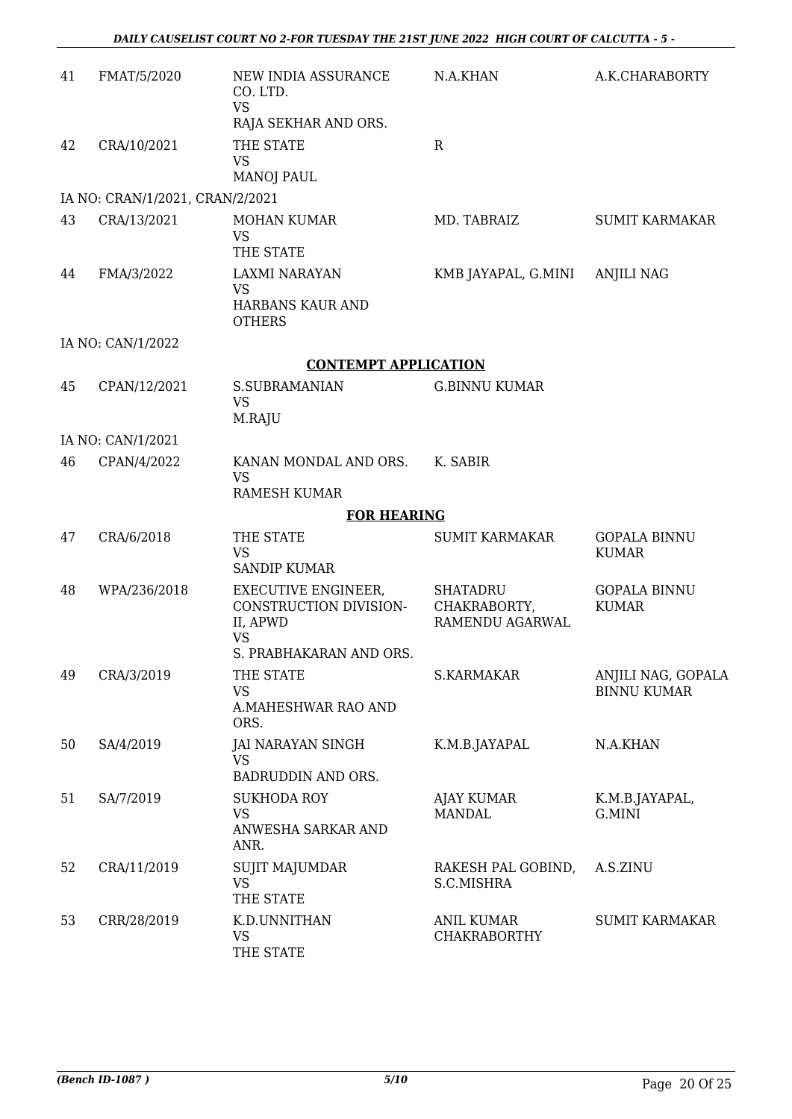| 41 | FMAT/5/2020                     | NEW INDIA ASSURANCE<br>CO. LTD.<br><b>VS</b><br>RAJA SEKHAR AND ORS.          | N.A.KHAN                                           | A.K.CHARABORTY                           |
|----|---------------------------------|-------------------------------------------------------------------------------|----------------------------------------------------|------------------------------------------|
| 42 | CRA/10/2021                     | THE STATE<br><b>VS</b><br><b>MANOJ PAUL</b>                                   | $\mathbf R$                                        |                                          |
|    | IA NO: CRAN/1/2021, CRAN/2/2021 |                                                                               |                                                    |                                          |
| 43 | CRA/13/2021                     | <b>MOHAN KUMAR</b><br><b>VS</b><br>THE STATE                                  | MD. TABRAIZ                                        | <b>SUMIT KARMAKAR</b>                    |
| 44 | FMA/3/2022                      | <b>LAXMI NARAYAN</b><br><b>VS</b><br>HARBANS KAUR AND<br><b>OTHERS</b>        | KMB JAYAPAL, G.MINI                                | <b>ANJILI NAG</b>                        |
|    | IA NO: CAN/1/2022               |                                                                               |                                                    |                                          |
|    |                                 | <b>CONTEMPT APPLICATION</b>                                                   |                                                    |                                          |
| 45 | CPAN/12/2021                    | S.SUBRAMANIAN<br><b>VS</b><br>M.RAJU                                          | <b>G.BINNU KUMAR</b>                               |                                          |
|    | IA NO: CAN/1/2021               |                                                                               |                                                    |                                          |
| 46 | CPAN/4/2022                     | KANAN MONDAL AND ORS.<br><b>VS</b><br><b>RAMESH KUMAR</b>                     | K. SABIR                                           |                                          |
|    |                                 | <b>FOR HEARING</b>                                                            |                                                    |                                          |
| 47 | CRA/6/2018                      | THE STATE<br><b>VS</b><br><b>SANDIP KUMAR</b>                                 | <b>SUMIT KARMAKAR</b>                              | <b>GOPALA BINNU</b><br><b>KUMAR</b>      |
| 48 | WPA/236/2018                    | <b>EXECUTIVE ENGINEER.</b><br>CONSTRUCTION DIVISION-<br>II, APWD<br><b>VS</b> | <b>SHATADRU</b><br>CHAKRABORTY,<br>RAMENDU AGARWAL | <b>GOPALA BINNU</b><br><b>KUMAR</b>      |
|    |                                 | S. PRABHAKARAN AND ORS.                                                       |                                                    |                                          |
| 49 | CRA/3/2019                      | THE STATE<br><b>VS</b><br>A.MAHESHWAR RAO AND<br>ORS.                         | S.KARMAKAR                                         | ANJILI NAG, GOPALA<br><b>BINNU KUMAR</b> |
| 50 | SA/4/2019                       | <b>JAI NARAYAN SINGH</b><br><b>VS</b><br><b>BADRUDDIN AND ORS.</b>            | K.M.B.JAYAPAL                                      | N.A.KHAN                                 |
| 51 | SA/7/2019                       | <b>SUKHODA ROY</b><br><b>VS</b><br>ANWESHA SARKAR AND<br>ANR.                 | <b>AJAY KUMAR</b><br><b>MANDAL</b>                 | K.M.B.JAYAPAL,<br>G.MINI                 |
| 52 | CRA/11/2019                     | SUJIT MAJUMDAR<br><b>VS</b><br>THE STATE                                      | RAKESH PAL GOBIND,<br>S.C.MISHRA                   | A.S.ZINU                                 |
| 53 | CRR/28/2019                     | K.D.UNNITHAN<br><b>VS</b><br>THE STATE                                        | <b>ANIL KUMAR</b><br><b>CHAKRABORTHY</b>           | <b>SUMIT KARMAKAR</b>                    |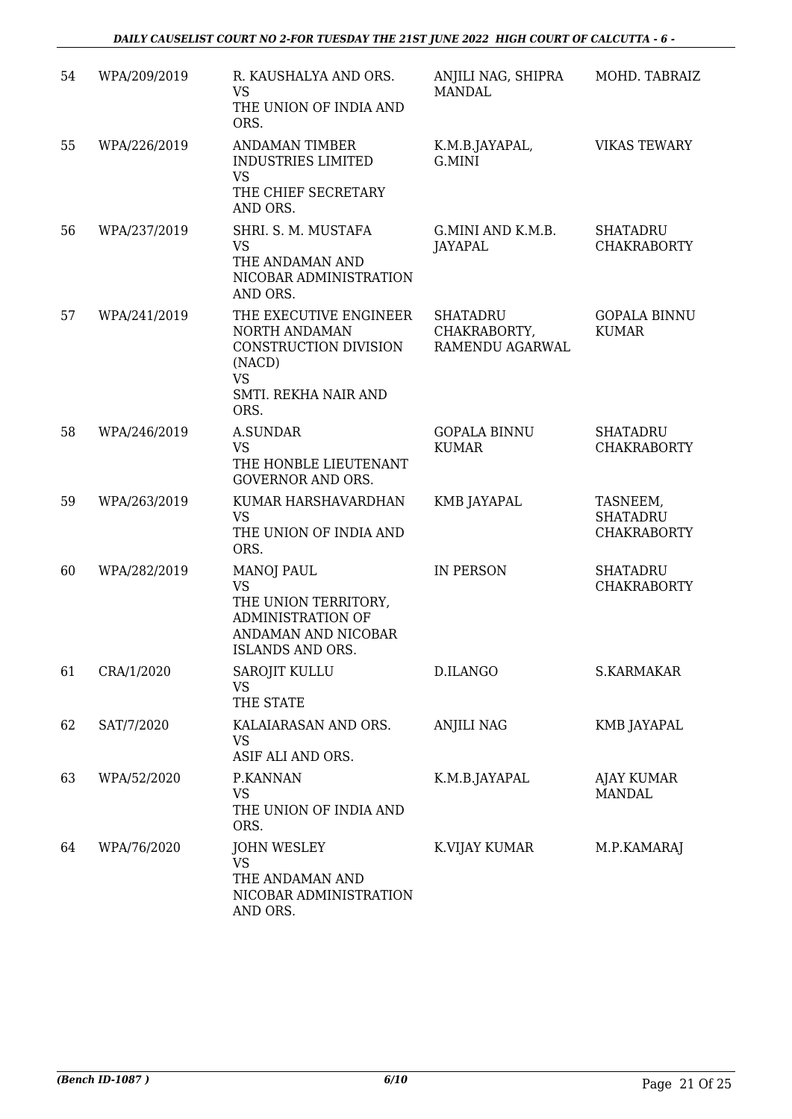| 54 | WPA/209/2019 | R. KAUSHALYA AND ORS.<br><b>VS</b><br>THE UNION OF INDIA AND<br>ORS.                                                    | ANJILI NAG, SHIPRA<br><b>MANDAL</b>                | MOHD. TABRAIZ                                     |
|----|--------------|-------------------------------------------------------------------------------------------------------------------------|----------------------------------------------------|---------------------------------------------------|
| 55 | WPA/226/2019 | <b>ANDAMAN TIMBER</b><br><b>INDUSTRIES LIMITED</b><br><b>VS</b><br>THE CHIEF SECRETARY<br>AND ORS.                      | K.M.B.JAYAPAL,<br>G.MINI                           | <b>VIKAS TEWARY</b>                               |
| 56 | WPA/237/2019 | SHRI. S. M. MUSTAFA<br><b>VS</b><br>THE ANDAMAN AND<br>NICOBAR ADMINISTRATION<br>AND ORS.                               | G.MINI AND K.M.B.<br>JAYAPAL                       | <b>SHATADRU</b><br><b>CHAKRABORTY</b>             |
| 57 | WPA/241/2019 | THE EXECUTIVE ENGINEER<br>NORTH ANDAMAN<br>CONSTRUCTION DIVISION<br>(NACD)<br><b>VS</b><br>SMTI. REKHA NAIR AND<br>ORS. | <b>SHATADRU</b><br>CHAKRABORTY,<br>RAMENDU AGARWAL | <b>GOPALA BINNU</b><br><b>KUMAR</b>               |
| 58 | WPA/246/2019 | <b>A.SUNDAR</b><br><b>VS</b><br>THE HONBLE LIEUTENANT<br><b>GOVERNOR AND ORS.</b>                                       | <b>GOPALA BINNU</b><br><b>KUMAR</b>                | <b>SHATADRU</b><br><b>CHAKRABORTY</b>             |
| 59 | WPA/263/2019 | KUMAR HARSHAVARDHAN<br><b>VS</b><br>THE UNION OF INDIA AND<br>ORS.                                                      | KMB JAYAPAL                                        | TASNEEM,<br><b>SHATADRU</b><br><b>CHAKRABORTY</b> |
| 60 | WPA/282/2019 | <b>MANOJ PAUL</b><br><b>VS</b><br>THE UNION TERRITORY,<br>ADMINISTRATION OF<br>ANDAMAN AND NICOBAR<br>ISLANDS AND ORS.  | IN PERSON                                          | <b>SHATADRU</b><br><b>CHAKRABORTY</b>             |
| 61 | CRA/1/2020   | SAROJIT KULLU<br><b>VS</b><br>THE STATE                                                                                 | D.ILANGO                                           | S.KARMAKAR                                        |
| 62 | SAT/7/2020   | KALAIARASAN AND ORS.<br><b>VS</b><br>ASIF ALI AND ORS.                                                                  | ANJILI NAG                                         | KMB JAYAPAL                                       |
| 63 | WPA/52/2020  | P.KANNAN<br><b>VS</b><br>THE UNION OF INDIA AND<br>ORS.                                                                 | K.M.B.JAYAPAL                                      | AJAY KUMAR<br><b>MANDAL</b>                       |
| 64 | WPA/76/2020  | <b>JOHN WESLEY</b><br>VS<br>THE ANDAMAN AND<br>NICOBAR ADMINISTRATION<br>AND ORS.                                       | K.VIJAY KUMAR                                      | M.P.KAMARAJ                                       |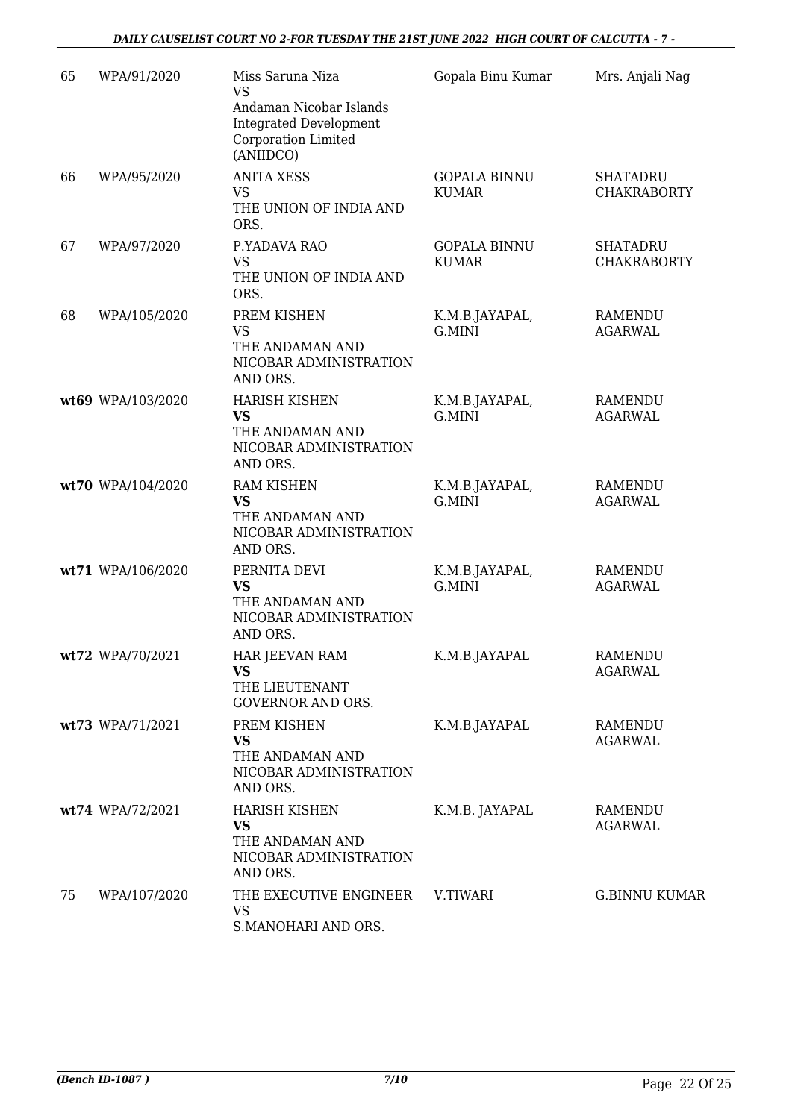| 65 | WPA/91/2020       | Miss Saruna Niza<br><b>VS</b>                                                                | Gopala Binu Kumar                   | Mrs. Anjali Nag                       |
|----|-------------------|----------------------------------------------------------------------------------------------|-------------------------------------|---------------------------------------|
|    |                   | Andaman Nicobar Islands<br><b>Integrated Development</b><br>Corporation Limited<br>(ANIIDCO) |                                     |                                       |
| 66 | WPA/95/2020       | <b>ANITA XESS</b><br><b>VS</b><br>THE UNION OF INDIA AND<br>ORS.                             | <b>GOPALA BINNU</b><br><b>KUMAR</b> | <b>SHATADRU</b><br><b>CHAKRABORTY</b> |
| 67 | WPA/97/2020       | P.YADAVA RAO<br><b>VS</b><br>THE UNION OF INDIA AND<br>ORS.                                  | <b>GOPALA BINNU</b><br><b>KUMAR</b> | <b>SHATADRU</b><br><b>CHAKRABORTY</b> |
| 68 | WPA/105/2020      | PREM KISHEN<br><b>VS</b><br>THE ANDAMAN AND<br>NICOBAR ADMINISTRATION<br>AND ORS.            | K.M.B.JAYAPAL,<br>G.MINI            | <b>RAMENDU</b><br><b>AGARWAL</b>      |
|    | wt69 WPA/103/2020 | <b>HARISH KISHEN</b><br><b>VS</b><br>THE ANDAMAN AND<br>NICOBAR ADMINISTRATION<br>AND ORS.   | K.M.B.JAYAPAL,<br>G.MINI            | <b>RAMENDU</b><br><b>AGARWAL</b>      |
|    | wt70 WPA/104/2020 | <b>RAM KISHEN</b><br><b>VS</b><br>THE ANDAMAN AND<br>NICOBAR ADMINISTRATION<br>AND ORS.      | K.M.B.JAYAPAL,<br>G.MINI            | <b>RAMENDU</b><br><b>AGARWAL</b>      |
|    | wt71 WPA/106/2020 | PERNITA DEVI<br><b>VS</b><br>THE ANDAMAN AND<br>NICOBAR ADMINISTRATION<br>AND ORS.           | K.M.B.JAYAPAL,<br>G.MINI            | <b>RAMENDU</b><br><b>AGARWAL</b>      |
|    | wt72 WPA/70/2021  | HAR JEEVAN RAM<br><b>VS</b><br>THE LIEUTENANT<br><b>GOVERNOR AND ORS.</b>                    | K.M.B.JAYAPAL                       | RAMENDU<br><b>AGARWAL</b>             |
|    | wt73 WPA/71/2021  | PREM KISHEN<br><b>VS</b><br>THE ANDAMAN AND<br>NICOBAR ADMINISTRATION<br>AND ORS.            | K.M.B.JAYAPAL                       | RAMENDU<br><b>AGARWAL</b>             |
|    | wt74 WPA/72/2021  | <b>HARISH KISHEN</b><br><b>VS</b><br>THE ANDAMAN AND<br>NICOBAR ADMINISTRATION<br>AND ORS.   | K.M.B. JAYAPAL                      | RAMENDU<br><b>AGARWAL</b>             |
| 75 | WPA/107/2020      | THE EXECUTIVE ENGINEER<br>VS<br>S.MANOHARI AND ORS.                                          | V.TIWARI                            | <b>G.BINNU KUMAR</b>                  |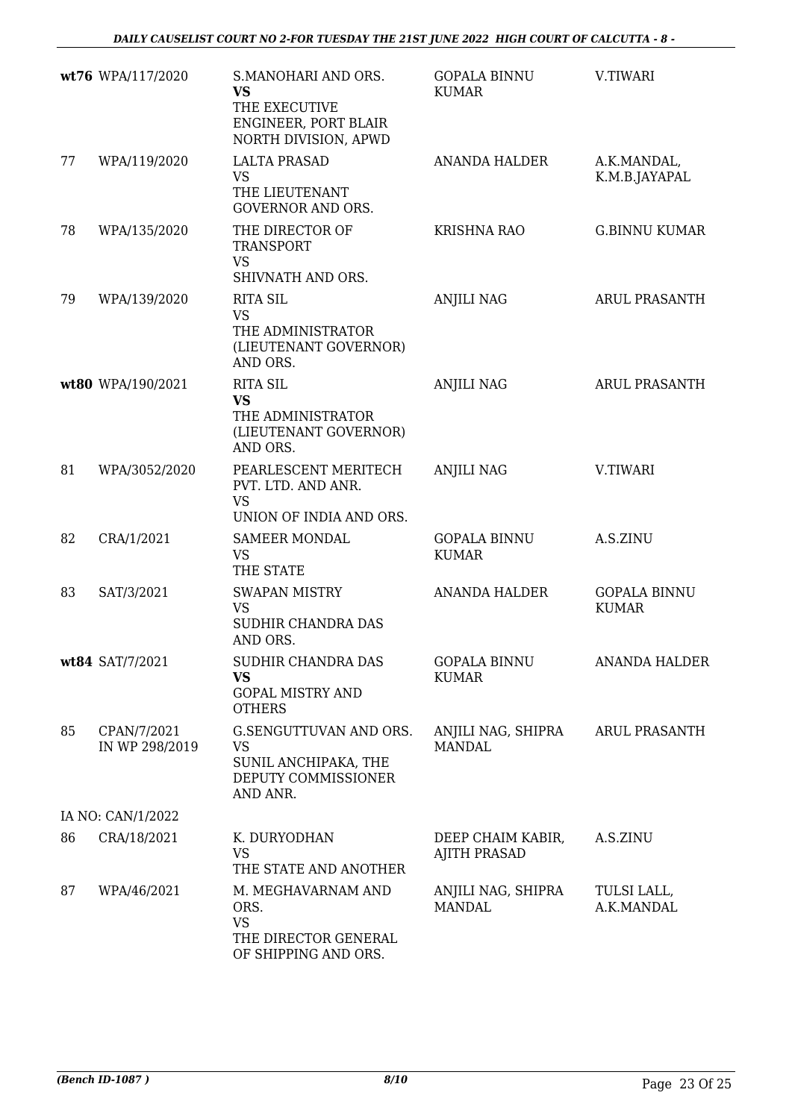|    | wt76 WPA/117/2020             | S.MANOHARI AND ORS.<br><b>VS</b><br>THE EXECUTIVE<br>ENGINEER, PORT BLAIR<br>NORTH DIVISION, APWD | <b>GOPALA BINNU</b><br><b>KUMAR</b>      | V.TIWARI                            |
|----|-------------------------------|---------------------------------------------------------------------------------------------------|------------------------------------------|-------------------------------------|
| 77 | WPA/119/2020                  | <b>LALTA PRASAD</b><br><b>VS</b><br>THE LIEUTENANT<br><b>GOVERNOR AND ORS.</b>                    | ANANDA HALDER                            | A.K.MANDAL,<br>K.M.B.JAYAPAL        |
| 78 | WPA/135/2020                  | THE DIRECTOR OF<br><b>TRANSPORT</b><br><b>VS</b><br>SHIVNATH AND ORS.                             | <b>KRISHNA RAO</b>                       | <b>G.BINNU KUMAR</b>                |
| 79 | WPA/139/2020                  | <b>RITA SIL</b><br><b>VS</b><br>THE ADMINISTRATOR<br>(LIEUTENANT GOVERNOR)<br>AND ORS.            | <b>ANJILI NAG</b>                        | <b>ARUL PRASANTH</b>                |
|    | wt80 WPA/190/2021             | <b>RITA SIL</b><br><b>VS</b><br>THE ADMINISTRATOR<br>(LIEUTENANT GOVERNOR)<br>AND ORS.            | <b>ANJILI NAG</b>                        | <b>ARUL PRASANTH</b>                |
| 81 | WPA/3052/2020                 | PEARLESCENT MERITECH<br>PVT. LTD. AND ANR.<br><b>VS</b><br>UNION OF INDIA AND ORS.                | <b>ANJILI NAG</b>                        | V.TIWARI                            |
| 82 | CRA/1/2021                    | <b>SAMEER MONDAL</b><br><b>VS</b><br>THE STATE                                                    | <b>GOPALA BINNU</b><br><b>KUMAR</b>      | A.S.ZINU                            |
| 83 | SAT/3/2021                    | <b>SWAPAN MISTRY</b><br><b>VS</b><br>SUDHIR CHANDRA DAS<br>AND ORS.                               | <b>ANANDA HALDER</b>                     | <b>GOPALA BINNU</b><br><b>KUMAR</b> |
|    | wt84 SAT/7/2021               | SUDHIR CHANDRA DAS<br><b>VS</b><br><b>GOPAL MISTRY AND</b><br><b>OTHERS</b>                       | <b>GOPALA BINNU</b><br><b>KUMAR</b>      | <b>ANANDA HALDER</b>                |
| 85 | CPAN/7/2021<br>IN WP 298/2019 | G.SENGUTTUVAN AND ORS.<br><b>VS</b><br>SUNIL ANCHIPAKA, THE<br>DEPUTY COMMISSIONER<br>AND ANR.    | ANJILI NAG, SHIPRA<br><b>MANDAL</b>      | <b>ARUL PRASANTH</b>                |
|    | IA NO: CAN/1/2022             |                                                                                                   |                                          |                                     |
| 86 | CRA/18/2021                   | K. DURYODHAN<br><b>VS</b><br>THE STATE AND ANOTHER                                                | DEEP CHAIM KABIR,<br><b>AJITH PRASAD</b> | A.S.ZINU                            |
| 87 | WPA/46/2021                   | M. MEGHAVARNAM AND<br>ORS.<br><b>VS</b><br>THE DIRECTOR GENERAL<br>OF SHIPPING AND ORS.           | ANJILI NAG, SHIPRA<br><b>MANDAL</b>      | TULSI LALL,<br>A.K.MANDAL           |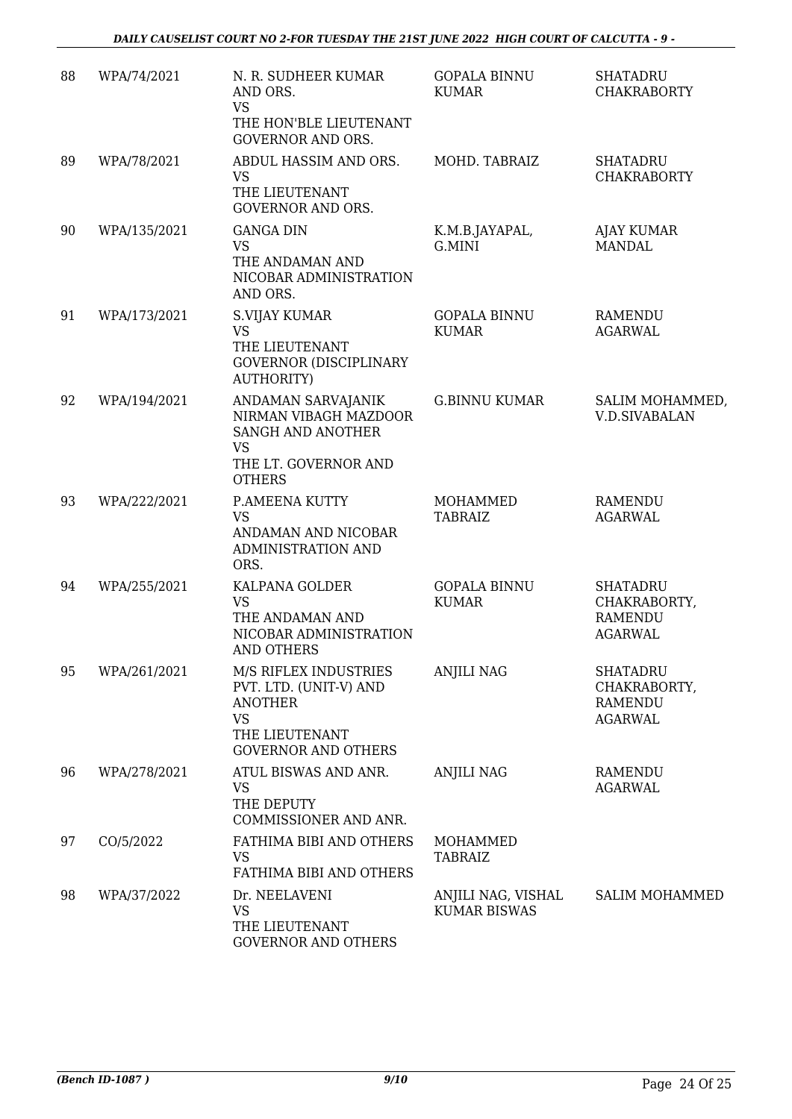| 88 | WPA/74/2021  | N. R. SUDHEER KUMAR<br>AND ORS.<br><b>VS</b><br>THE HON'BLE LIEUTENANT<br><b>GOVERNOR AND ORS.</b>                             | <b>GOPALA BINNU</b><br><b>KUMAR</b>       | <b>SHATADRU</b><br><b>CHAKRABORTY</b>                               |
|----|--------------|--------------------------------------------------------------------------------------------------------------------------------|-------------------------------------------|---------------------------------------------------------------------|
| 89 | WPA/78/2021  | ABDUL HASSIM AND ORS.<br><b>VS</b><br>THE LIEUTENANT<br><b>GOVERNOR AND ORS.</b>                                               | MOHD. TABRAIZ                             | <b>SHATADRU</b><br><b>CHAKRABORTY</b>                               |
| 90 | WPA/135/2021 | <b>GANGA DIN</b><br><b>VS</b><br>THE ANDAMAN AND<br>NICOBAR ADMINISTRATION<br>AND ORS.                                         | K.M.B.JAYAPAL,<br>G.MINI                  | AJAY KUMAR<br><b>MANDAL</b>                                         |
| 91 | WPA/173/2021 | <b>S.VIJAY KUMAR</b><br><b>VS</b><br>THE LIEUTENANT<br><b>GOVERNOR (DISCIPLINARY</b><br><b>AUTHORITY)</b>                      | <b>GOPALA BINNU</b><br><b>KUMAR</b>       | <b>RAMENDU</b><br><b>AGARWAL</b>                                    |
| 92 | WPA/194/2021 | ANDAMAN SARVAJANIK<br>NIRMAN VIBAGH MAZDOOR<br>SANGH AND ANOTHER<br><b>VS</b><br>THE LT. GOVERNOR AND<br><b>OTHERS</b>         | <b>G.BINNU KUMAR</b>                      | SALIM MOHAMMED,<br><b>V.D.SIVABALAN</b>                             |
| 93 | WPA/222/2021 | P.AMEENA KUTTY<br><b>VS</b><br>ANDAMAN AND NICOBAR<br>ADMINISTRATION AND<br>ORS.                                               | MOHAMMED<br><b>TABRAIZ</b>                | <b>RAMENDU</b><br><b>AGARWAL</b>                                    |
| 94 | WPA/255/2021 | KALPANA GOLDER<br><b>VS</b><br>THE ANDAMAN AND<br>NICOBAR ADMINISTRATION<br><b>AND OTHERS</b>                                  | <b>GOPALA BINNU</b><br><b>KUMAR</b>       | <b>SHATADRU</b><br>CHAKRABORTY,<br><b>RAMENDU</b><br><b>AGARWAL</b> |
| 95 | WPA/261/2021 | M/S RIFLEX INDUSTRIES<br>PVT. LTD. (UNIT-V) AND<br><b>ANOTHER</b><br><b>VS</b><br>THE LIEUTENANT<br><b>GOVERNOR AND OTHERS</b> | <b>ANJILI NAG</b>                         | <b>SHATADRU</b><br>CHAKRABORTY,<br><b>RAMENDU</b><br><b>AGARWAL</b> |
| 96 | WPA/278/2021 | ATUL BISWAS AND ANR.<br><b>VS</b><br>THE DEPUTY<br>COMMISSIONER AND ANR.                                                       | <b>ANJILI NAG</b>                         | RAMENDU<br><b>AGARWAL</b>                                           |
| 97 | CO/5/2022    | FATHIMA BIBI AND OTHERS<br><b>VS</b><br>FATHIMA BIBI AND OTHERS                                                                | MOHAMMED<br><b>TABRAIZ</b>                |                                                                     |
| 98 | WPA/37/2022  | Dr. NEELAVENI<br><b>VS</b><br>THE LIEUTENANT<br><b>GOVERNOR AND OTHERS</b>                                                     | ANJILI NAG, VISHAL<br><b>KUMAR BISWAS</b> | <b>SALIM MOHAMMED</b>                                               |